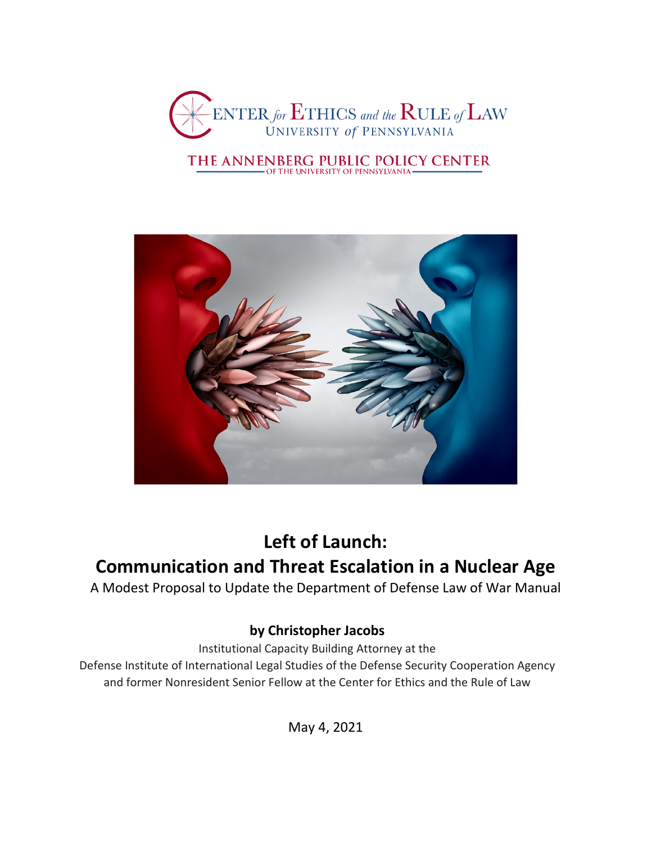

# THE ANNENBERG PUBLIC POLICY CENTER



## **Left of Launch: Communication and Threat Escalation in a Nuclear Age**

A Modest Proposal to Update the Department of Defense Law of War Manual

### **by Christopher Jacobs**

Institutional Capacity Building Attorney at the

Defense Institute of International Legal Studies of the Defense Security Cooperation Agency and former Nonresident Senior Fellow at the Center for Ethics and the Rule of Law

May 4, 2021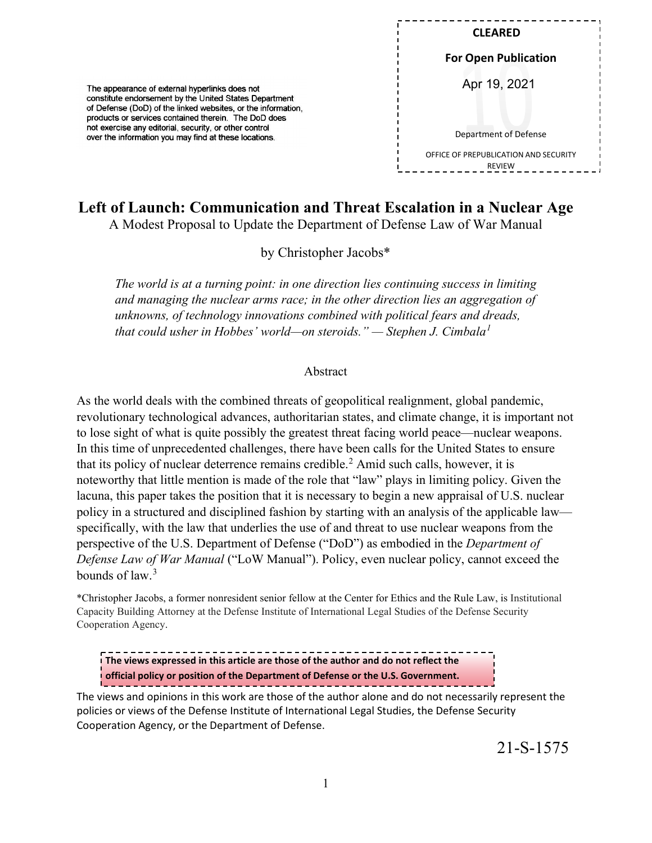| <b>CLEARED</b>                                         |
|--------------------------------------------------------|
| <b>For Open Publication</b>                            |
| Apr 19, 2021                                           |
| Department of Defense                                  |
| OFFICE OF PREPUBLICATION AND SECURITY<br><b>RFVIFW</b> |

### **Left of Launch: Communication and Threat Escalation in a Nuclear Age**

The appearance of external hyperlinks does not constitute endorsement by the United States Department of Defense (DoD) of the linked websites, or the information, products or services contained therein. The DoD does not exercise any editorial, security, or other control over the information you may find at these locations.

A Modest Proposal to Update the Department of Defense Law of War Manual

by Christopher Jacobs\*

*The world is at a turning point: in one direction lies continuing success in limiting and managing the nuclear arms race; in the other direction lies an aggregation of unknowns, of technology innovations combined with political fears and dreads, that could usher in Hobbes' world—on steroids." — Stephen J. Cimbala[1](#page-19-0)*

#### Abstract

As the world deals with the combined threats of geopolitical realignment, global pandemic, revolutionary technological advances, authoritarian states, and climate change, it is important not to lose sight of what is quite possibly the greatest threat facing world peace—nuclear weapons. In this time of unprecedented challenges, there have been calls for the United States to ensure that its policy of nuclear deterrence remains credible.<sup>[2](#page-19-1)</sup> Amid such calls, however, it is noteworthy that little mention is made of the role that "law" plays in limiting policy. Given the lacuna, this paper takes the position that it is necessary to begin a new appraisal of U.S. nuclear policy in a structured and disciplined fashion by starting with an analysis of the applicable law specifically, with the law that underlies the use of and threat to use nuclear weapons from the perspective of the U.S. Department of Defense ("DoD") as embodied in the *Department of Defense Law of War Manual* ("LoW Manual"). Policy, even nuclear policy, cannot exceed the bounds of law.[3](#page-19-2)

\*Christopher Jacobs, a former nonresident senior fellow at the Center for Ethics and the Rule Law, is Institutional Capacity Building Attorney at the Defense Institute of International Legal Studies of the Defense Security Cooperation Agency.

**The views expressed in this article are those of the author and do not reflect the official policy or position of the Department of Defense or the U.S. Government.**

The views and opinions in this work are those of the author alone and do not necessarily represent the policies or views of the Defense Institute of International Legal Studies, the Defense Security Cooperation Agency, or the Department of Defense.

21-S-1575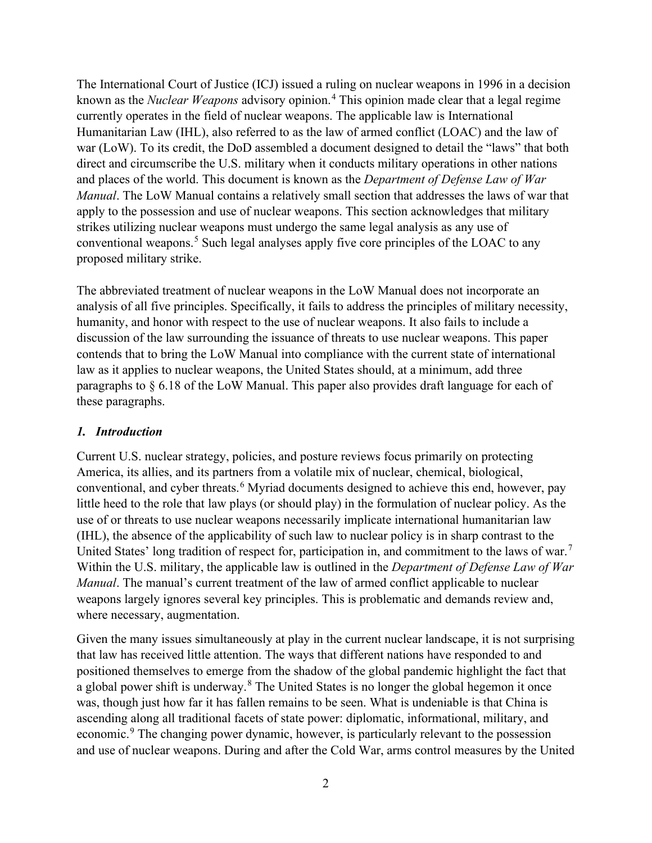The International Court of Justice (ICJ) issued a ruling on nuclear weapons in 1996 in a decision known as the *Nuclear Weapons* advisory opinion.<sup>[4](#page-19-3)</sup> This opinion made clear that a legal regime currently operates in the field of nuclear weapons. The applicable law is International Humanitarian Law (IHL), also referred to as the law of armed conflict (LOAC) and the law of war (LoW). To its credit, the DoD assembled a document designed to detail the "laws" that both direct and circumscribe the U.S. military when it conducts military operations in other nations and places of the world. This document is known as the *Department of Defense Law of War Manual*. The LoW Manual contains a relatively small section that addresses the laws of war that apply to the possession and use of nuclear weapons. This section acknowledges that military strikes utilizing nuclear weapons must undergo the same legal analysis as any use of conventional weapons.<sup>[5](#page-19-4)</sup> Such legal analyses apply five core principles of the LOAC to any proposed military strike.

The abbreviated treatment of nuclear weapons in the LoW Manual does not incorporate an analysis of all five principles. Specifically, it fails to address the principles of military necessity, humanity, and honor with respect to the use of nuclear weapons. It also fails to include a discussion of the law surrounding the issuance of threats to use nuclear weapons. This paper contends that to bring the LoW Manual into compliance with the current state of international law as it applies to nuclear weapons, the United States should, at a minimum, add three paragraphs to § 6.18 of the LoW Manual. This paper also provides draft language for each of these paragraphs.

#### *1. Introduction*

Current U.S. nuclear strategy, policies, and posture reviews focus primarily on protecting America, its allies, and its partners from a volatile mix of nuclear, chemical, biological, conventional, and cyber threats.<sup>[6](#page-19-5)</sup> Myriad documents designed to achieve this end, however, pay little heed to the role that law plays (or should play) in the formulation of nuclear policy. As the use of or threats to use nuclear weapons necessarily implicate international humanitarian law (IHL), the absence of the applicability of such law to nuclear policy is in sharp contrast to the United States' long tradition of respect for, participation in, and commitment to the laws of war.<sup>[7](#page-19-6)</sup> Within the U.S. military, the applicable law is outlined in the *Department of Defense Law of War Manual*. The manual's current treatment of the law of armed conflict applicable to nuclear weapons largely ignores several key principles. This is problematic and demands review and, where necessary, augmentation.

Given the many issues simultaneously at play in the current nuclear landscape, it is not surprising that law has received little attention. The ways that different nations have responded to and positioned themselves to emerge from the shadow of the global pandemic highlight the fact that a global power shift is underway.<sup>[8](#page-20-0)</sup> The United States is no longer the global hegemon it once was, though just how far it has fallen remains to be seen. What is undeniable is that China is ascending along all traditional facets of state power: diplomatic, informational, military, and economic.<sup>[9](#page-20-1)</sup> The changing power dynamic, however, is particularly relevant to the possession and use of nuclear weapons. During and after the Cold War, arms control measures by the United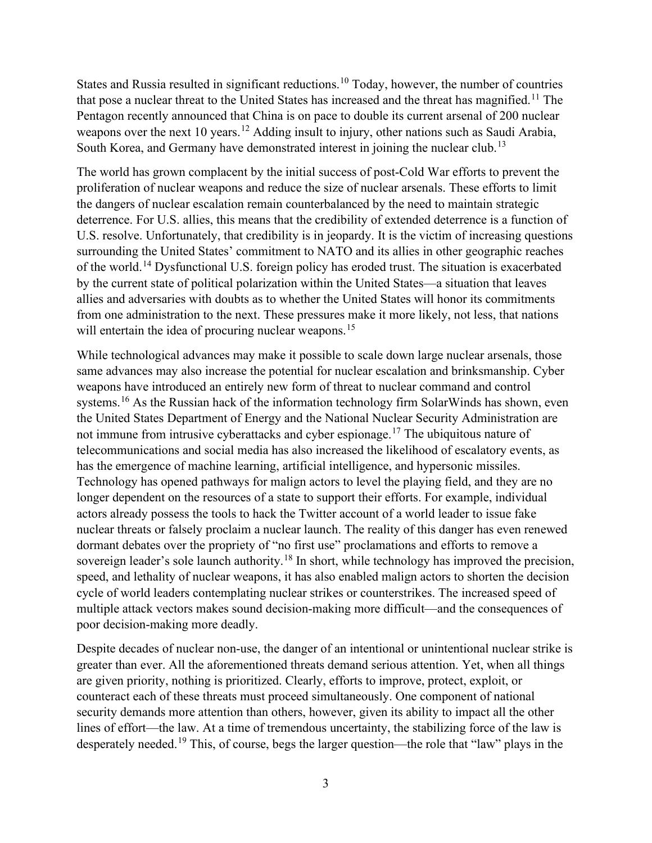States and Russia resulted in significant reductions.<sup>[10](#page-20-2)</sup> Today, however, the number of countries that pose a nuclear threat to the United States has increased and the threat has magnified.<sup>[11](#page-20-3)</sup> The Pentagon recently announced that China is on pace to double its current arsenal of 200 nuclear weapons over the next 10 years.<sup>[12](#page-20-4)</sup> Adding insult to injury, other nations such as Saudi Arabia, South Korea, and Germany have demonstrated interest in joining the nuclear club.<sup>[13](#page-20-5)</sup>

The world has grown complacent by the initial success of post-Cold War efforts to prevent the proliferation of nuclear weapons and reduce the size of nuclear arsenals. These efforts to limit the dangers of nuclear escalation remain counterbalanced by the need to maintain strategic deterrence. For U.S. allies, this means that the credibility of extended deterrence is a function of U.S. resolve. Unfortunately, that credibility is in jeopardy. It is the victim of increasing questions surrounding the United States' commitment to NATO and its allies in other geographic reaches of the world.<sup>[14](#page-20-6)</sup> Dysfunctional U.S. foreign policy has eroded trust. The situation is exacerbated by the current state of political polarization within the United States—a situation that leaves allies and adversaries with doubts as to whether the United States will honor its commitments from one administration to the next. These pressures make it more likely, not less, that nations will entertain the idea of procuring nuclear weapons.<sup>[15](#page-20-7)</sup>

While technological advances may make it possible to scale down large nuclear arsenals, those same advances may also increase the potential for nuclear escalation and brinksmanship. Cyber weapons have introduced an entirely new form of threat to nuclear command and control systems.<sup>[16](#page-20-8)</sup> As the Russian hack of the information technology firm SolarWinds has shown, even the United States Department of Energy and the National Nuclear Security Administration are not immune from intrusive cyberattacks and cyber espionage.<sup>[17](#page-20-9)</sup> The ubiquitous nature of telecommunications and social media has also increased the likelihood of escalatory events, as has the emergence of machine learning, artificial intelligence, and hypersonic missiles. Technology has opened pathways for malign actors to level the playing field, and they are no longer dependent on the resources of a state to support their efforts. For example, individual actors already possess the tools to hack the Twitter account of a world leader to issue fake nuclear threats or falsely proclaim a nuclear launch. The reality of this danger has even renewed dormant debates over the propriety of "no first use" proclamations and efforts to remove a sovereign leader's sole launch authority.<sup>[18](#page-20-10)</sup> In short, while technology has improved the precision, speed, and lethality of nuclear weapons, it has also enabled malign actors to shorten the decision cycle of world leaders contemplating nuclear strikes or counterstrikes. The increased speed of multiple attack vectors makes sound decision-making more difficult—and the consequences of poor decision-making more deadly.

Despite decades of nuclear non-use, the danger of an intentional or unintentional nuclear strike is greater than ever. All the aforementioned threats demand serious attention. Yet, when all things are given priority, nothing is prioritized. Clearly, efforts to improve, protect, exploit, or counteract each of these threats must proceed simultaneously. One component of national security demands more attention than others, however, given its ability to impact all the other lines of effort—the law. At a time of tremendous uncertainty, the stabilizing force of the law is desperately needed.<sup>[19](#page-20-11)</sup> This, of course, begs the larger question—the role that "law" plays in the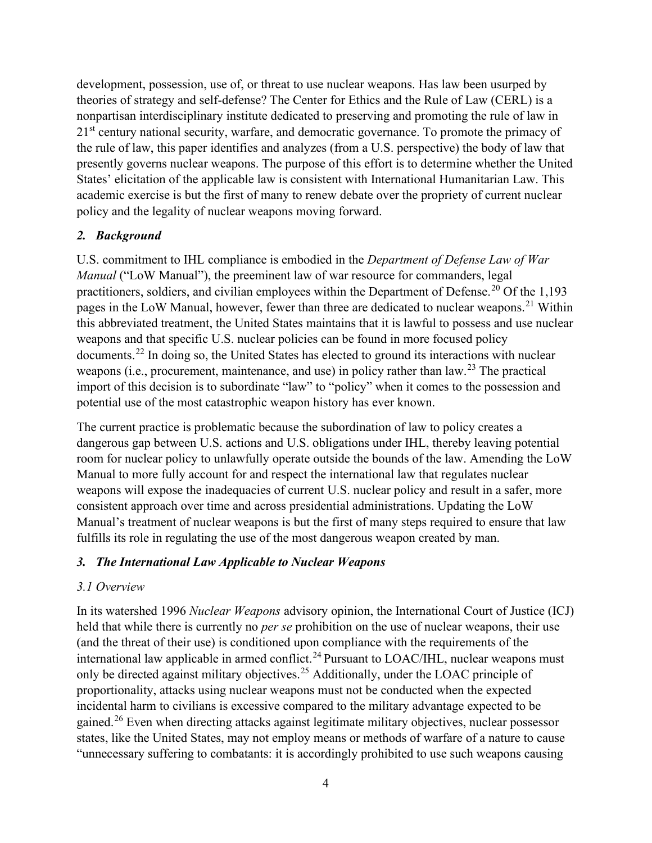development, possession, use of, or threat to use nuclear weapons. Has law been usurped by theories of strategy and self-defense? The Center for Ethics and the Rule of Law (CERL) is a nonpartisan interdisciplinary institute dedicated to preserving and promoting the rule of law in  $21<sup>st</sup>$  century national security, warfare, and democratic governance. To promote the primacy of the rule of law, this paper identifies and analyzes (from a U.S. perspective) the body of law that presently governs nuclear weapons. The purpose of this effort is to determine whether the United States' elicitation of the applicable law is consistent with International Humanitarian Law. This academic exercise is but the first of many to renew debate over the propriety of current nuclear policy and the legality of nuclear weapons moving forward.

#### *2. Background*

U.S. commitment to IHL compliance is embodied in the *Department of Defense Law of War Manual* ("LoW Manual"), the preeminent law of war resource for commanders, legal practitioners, soldiers, and civilian employees within the Department of Defense.<sup>[20](#page-20-12)</sup> Of the 1,193 pages in the LoW Manual, however, fewer than three are dedicated to nuclear weapons.<sup>[21](#page-20-13)</sup> Within this abbreviated treatment, the United States maintains that it is lawful to possess and use nuclear weapons and that specific U.S. nuclear policies can be found in more focused policy documents.[22](#page-20-14) In doing so, the United States has elected to ground its interactions with nuclear weapons (i.e., procurement, maintenance, and use) in policy rather than  $law<sup>23</sup>$  $law<sup>23</sup>$  $law<sup>23</sup>$ . The practical import of this decision is to subordinate "law" to "policy" when it comes to the possession and potential use of the most catastrophic weapon history has ever known.

The current practice is problematic because the subordination of law to policy creates a dangerous gap between U.S. actions and U.S. obligations under IHL, thereby leaving potential room for nuclear policy to unlawfully operate outside the bounds of the law. Amending the LoW Manual to more fully account for and respect the international law that regulates nuclear weapons will expose the inadequacies of current U.S. nuclear policy and result in a safer, more consistent approach over time and across presidential administrations. Updating the LoW Manual's treatment of nuclear weapons is but the first of many steps required to ensure that law fulfills its role in regulating the use of the most dangerous weapon created by man.

#### *3. The International Law Applicable to Nuclear Weapons*

#### *3.1 Overview*

In its watershed 1996 *Nuclear Weapons* advisory opinion, the International Court of Justice (ICJ) held that while there is currently no *per se* prohibition on the use of nuclear weapons, their use (and the threat of their use) is conditioned upon compliance with the requirements of the international law applicable in armed conflict.<sup>[24](#page-21-0)</sup> Pursuant to LOAC/IHL, nuclear weapons must only be directed against military objectives.[25](#page-21-1) Additionally, under the LOAC principle of proportionality, attacks using nuclear weapons must not be conducted when the expected incidental harm to civilians is excessive compared to the military advantage expected to be gained.[26](#page-21-2) Even when directing attacks against legitimate military objectives, nuclear possessor states, like the United States, may not employ means or methods of warfare of a nature to cause "unnecessary suffering to combatants: it is accordingly prohibited to use such weapons causing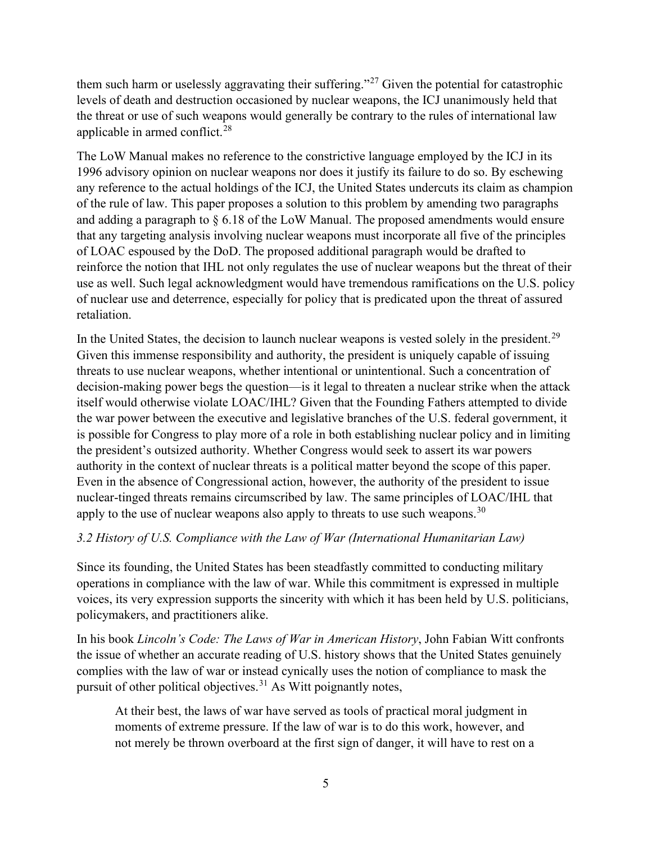them such harm or uselessly aggravating their suffering."[27](#page-21-3) Given the potential for catastrophic levels of death and destruction occasioned by nuclear weapons, the ICJ unanimously held that the threat or use of such weapons would generally be contrary to the rules of international law applicable in armed conflict. $28$ 

The LoW Manual makes no reference to the constrictive language employed by the ICJ in its 1996 advisory opinion on nuclear weapons nor does it justify its failure to do so. By eschewing any reference to the actual holdings of the ICJ, the United States undercuts its claim as champion of the rule of law. This paper proposes a solution to this problem by amending two paragraphs and adding a paragraph to § 6.18 of the LoW Manual. The proposed amendments would ensure that any targeting analysis involving nuclear weapons must incorporate all five of the principles of LOAC espoused by the DoD. The proposed additional paragraph would be drafted to reinforce the notion that IHL not only regulates the use of nuclear weapons but the threat of their use as well. Such legal acknowledgment would have tremendous ramifications on the U.S. policy of nuclear use and deterrence, especially for policy that is predicated upon the threat of assured retaliation.

In the United States, the decision to launch nuclear weapons is vested solely in the president.<sup>[29](#page-21-5)</sup> Given this immense responsibility and authority, the president is uniquely capable of issuing threats to use nuclear weapons, whether intentional or unintentional. Such a concentration of decision-making power begs the question—is it legal to threaten a nuclear strike when the attack itself would otherwise violate LOAC/IHL? Given that the Founding Fathers attempted to divide the war power between the executive and legislative branches of the U.S. federal government, it is possible for Congress to play more of a role in both establishing nuclear policy and in limiting the president's outsized authority. Whether Congress would seek to assert its war powers authority in the context of nuclear threats is a political matter beyond the scope of this paper. Even in the absence of Congressional action, however, the authority of the president to issue nuclear-tinged threats remains circumscribed by law. The same principles of LOAC/IHL that apply to the use of nuclear weapons also apply to threats to use such weapons.<sup>[30](#page-21-6)</sup>

#### *3.2 History of U.S. Compliance with the Law of War (International Humanitarian Law)*

Since its founding, the United States has been steadfastly committed to conducting military operations in compliance with the law of war. While this commitment is expressed in multiple voices, its very expression supports the sincerity with which it has been held by U.S. politicians, policymakers, and practitioners alike.

In his book *Lincoln's Code: The Laws of War in American History*, John Fabian Witt confronts the issue of whether an accurate reading of U.S. history shows that the United States genuinely complies with the law of war or instead cynically uses the notion of compliance to mask the pursuit of other political objectives.<sup>[31](#page-21-7)</sup> As Witt poignantly notes,

At their best, the laws of war have served as tools of practical moral judgment in moments of extreme pressure. If the law of war is to do this work, however, and not merely be thrown overboard at the first sign of danger, it will have to rest on a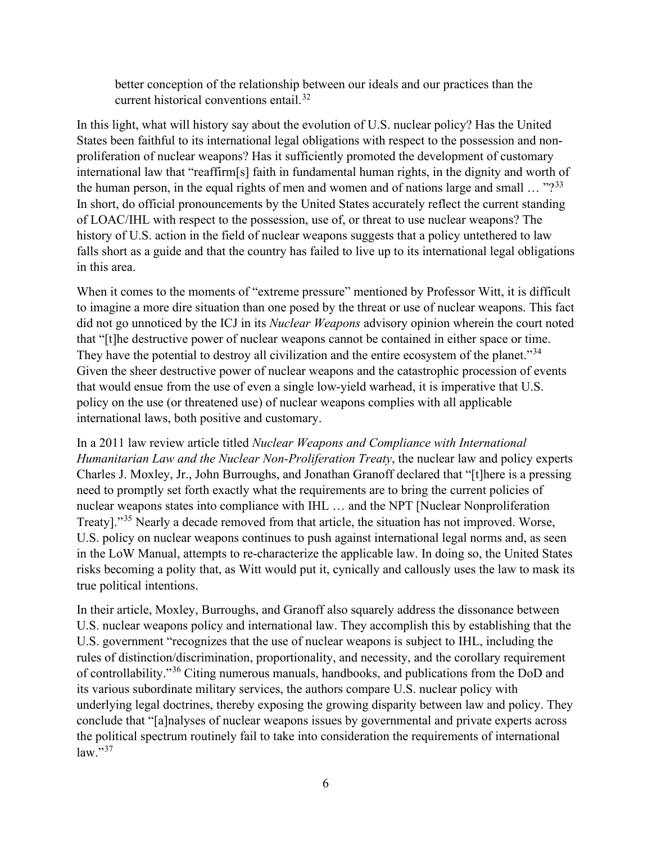better conception of the relationship between our ideals and our practices than the current historical conventions entail.<sup>[32](#page-21-8)</sup>

In this light, what will history say about the evolution of U.S. nuclear policy? Has the United States been faithful to its international legal obligations with respect to the possession and nonproliferation of nuclear weapons? Has it sufficiently promoted the development of customary international law that "reaffirm[s] faith in fundamental human rights, in the dignity and worth of the human person, in the equal rights of men and women and of nations large and small  $\ldots$  "?<sup>[33](#page-21-9)</sup> In short, do official pronouncements by the United States accurately reflect the current standing of LOAC/IHL with respect to the possession, use of, or threat to use nuclear weapons? The history of U.S. action in the field of nuclear weapons suggests that a policy untethered to law falls short as a guide and that the country has failed to live up to its international legal obligations in this area.

When it comes to the moments of "extreme pressure" mentioned by Professor Witt, it is difficult to imagine a more dire situation than one posed by the threat or use of nuclear weapons. This fact did not go unnoticed by the ICJ in its *Nuclear Weapons* advisory opinion wherein the court noted that "[t]he destructive power of nuclear weapons cannot be contained in either space or time. They have the potential to destroy all civilization and the entire ecosystem of the planet."<sup>[34](#page-22-0)</sup> Given the sheer destructive power of nuclear weapons and the catastrophic procession of events that would ensue from the use of even a single low-yield warhead, it is imperative that U.S. policy on the use (or threatened use) of nuclear weapons complies with all applicable international laws, both positive and customary.

In a 2011 law review article titled *Nuclear Weapons and Compliance with International Humanitarian Law and the Nuclear Non-Proliferation Treaty*, the nuclear law and policy experts Charles J. Moxley, Jr., John Burroughs, and Jonathan Granoff declared that "[t]here is a pressing need to promptly set forth exactly what the requirements are to bring the current policies of nuclear weapons states into compliance with IHL … and the NPT [Nuclear Nonproliferation Treaty]."<sup>[35](#page-22-1)</sup> Nearly a decade removed from that article, the situation has not improved. Worse, U.S. policy on nuclear weapons continues to push against international legal norms and, as seen in the LoW Manual, attempts to re-characterize the applicable law. In doing so, the United States risks becoming a polity that, as Witt would put it, cynically and callously uses the law to mask its true political intentions.

In their article, Moxley, Burroughs, and Granoff also squarely address the dissonance between U.S. nuclear weapons policy and international law. They accomplish this by establishing that the U.S. government "recognizes that the use of nuclear weapons is subject to IHL, including the rules of distinction/discrimination, proportionality, and necessity, and the corollary requirement of controllability."[36](#page-22-2) Citing numerous manuals, handbooks, and publications from the DoD and its various subordinate military services, the authors compare U.S. nuclear policy with underlying legal doctrines, thereby exposing the growing disparity between law and policy. They conclude that "[a]nalyses of nuclear weapons issues by governmental and private experts across the political spectrum routinely fail to take into consideration the requirements of international  $law.$ "[37](#page-22-3)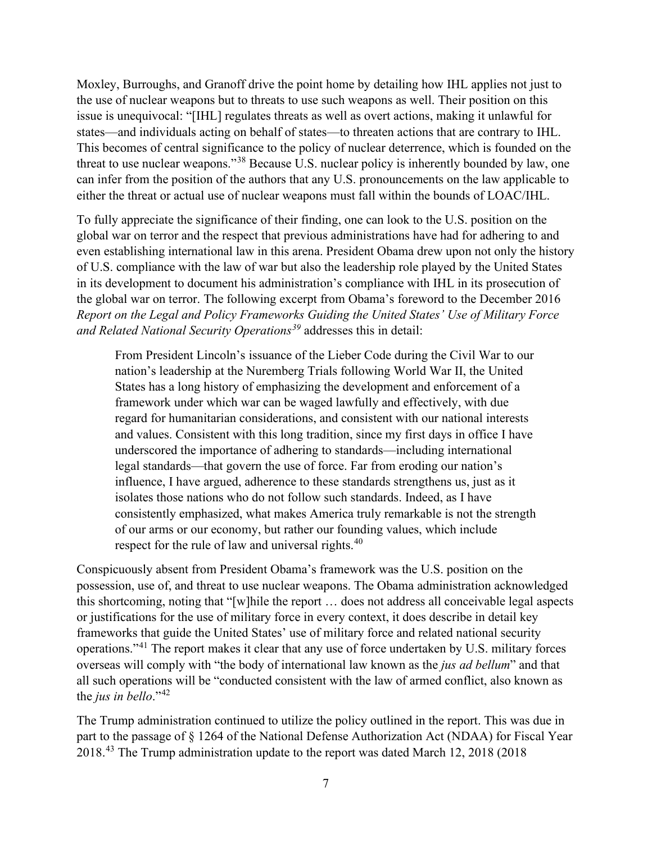Moxley, Burroughs, and Granoff drive the point home by detailing how IHL applies not just to the use of nuclear weapons but to threats to use such weapons as well. Their position on this issue is unequivocal: "[IHL] regulates threats as well as overt actions, making it unlawful for states—and individuals acting on behalf of states—to threaten actions that are contrary to IHL. This becomes of central significance to the policy of nuclear deterrence, which is founded on the threat to use nuclear weapons."[38](#page-22-4) Because U.S. nuclear policy is inherently bounded by law, one can infer from the position of the authors that any U.S. pronouncements on the law applicable to either the threat or actual use of nuclear weapons must fall within the bounds of LOAC/IHL.

To fully appreciate the significance of their finding, one can look to the U.S. position on the global war on terror and the respect that previous administrations have had for adhering to and even establishing international law in this arena. President Obama drew upon not only the history of U.S. compliance with the law of war but also the leadership role played by the United States in its development to document his administration's compliance with IHL in its prosecution of the global war on terror. The following excerpt from Obama's foreword to the December 2016 *Report on the Legal and Policy Frameworks Guiding the United States' Use of Military Force and Related National Security Operations[39](#page-22-5)* addresses this in detail:

From President Lincoln's issuance of the Lieber Code during the Civil War to our nation's leadership at the Nuremberg Trials following World War II, the United States has a long history of emphasizing the development and enforcement of a framework under which war can be waged lawfully and effectively, with due regard for humanitarian considerations, and consistent with our national interests and values. Consistent with this long tradition, since my first days in office I have underscored the importance of adhering to standards—including international legal standards—that govern the use of force. Far from eroding our nation's influence, I have argued, adherence to these standards strengthens us, just as it isolates those nations who do not follow such standards. Indeed, as I have consistently emphasized, what makes America truly remarkable is not the strength of our arms or our economy, but rather our founding values, which include respect for the rule of law and universal rights.<sup>[40](#page-22-6)</sup>

Conspicuously absent from President Obama's framework was the U.S. position on the possession, use of, and threat to use nuclear weapons. The Obama administration acknowledged this shortcoming, noting that "[w]hile the report … does not address all conceivable legal aspects or justifications for the use of military force in every context, it does describe in detail key frameworks that guide the United States' use of military force and related national security operations."[41](#page-22-7) The report makes it clear that any use of force undertaken by U.S. military forces overseas will comply with "the body of international law known as the *jus ad bellum*" and that all such operations will be "conducted consistent with the law of armed conflict, also known as the *jus in bello*."[42](#page-22-8)

The Trump administration continued to utilize the policy outlined in the report. This was due in part to the passage of § 1264 of the National Defense Authorization Act (NDAA) for Fiscal Year 2018.[43](#page-22-9) The Trump administration update to the report was dated March 12, 2018 (2018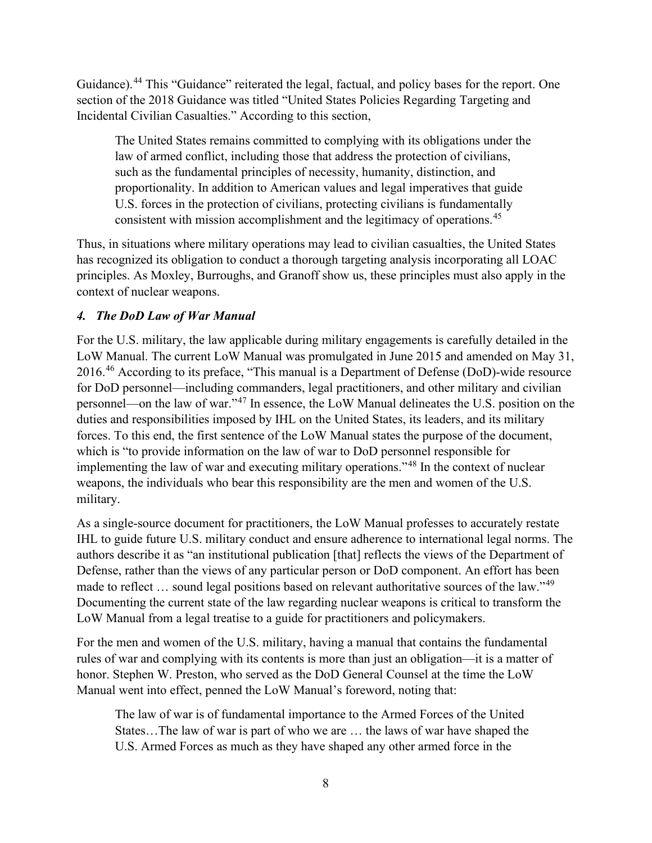Guidance).<sup>[44](#page-22-10)</sup> This "Guidance" reiterated the legal, factual, and policy bases for the report. One section of the 2018 Guidance was titled "United States Policies Regarding Targeting and Incidental Civilian Casualties." According to this section,

The United States remains committed to complying with its obligations under the law of armed conflict, including those that address the protection of civilians, such as the fundamental principles of necessity, humanity, distinction, and proportionality. In addition to American values and legal imperatives that guide U.S. forces in the protection of civilians, protecting civilians is fundamentally consistent with mission accomplishment and the legitimacy of operations.<sup>[45](#page-22-11)</sup>

Thus, in situations where military operations may lead to civilian casualties, the United States has recognized its obligation to conduct a thorough targeting analysis incorporating all LOAC principles. As Moxley, Burroughs, and Granoff show us, these principles must also apply in the context of nuclear weapons.

#### *4. The DoD Law of War Manual*

For the U.S. military, the law applicable during military engagements is carefully detailed in the LoW Manual. The current LoW Manual was promulgated in June 2015 and amended on May 31, 2016.[46](#page-22-12) According to its preface, "This manual is a Department of Defense (DoD)-wide resource for DoD personnel—including commanders, legal practitioners, and other military and civilian personnel—on the law of war."[47](#page-22-13) In essence, the LoW Manual delineates the U.S. position on the duties and responsibilities imposed by IHL on the United States, its leaders, and its military forces. To this end, the first sentence of the LoW Manual states the purpose of the document, which is "to provide information on the law of war to DoD personnel responsible for implementing the law of war and executing military operations."[48](#page-22-14) In the context of nuclear weapons, the individuals who bear this responsibility are the men and women of the U.S. military.

As a single-source document for practitioners, the LoW Manual professes to accurately restate IHL to guide future U.S. military conduct and ensure adherence to international legal norms. The authors describe it as "an institutional publication [that] reflects the views of the Department of Defense, rather than the views of any particular person or DoD component. An effort has been made to reflect ... sound legal positions based on relevant authoritative sources of the law."<sup>[49](#page-22-15)</sup> Documenting the current state of the law regarding nuclear weapons is critical to transform the LoW Manual from a legal treatise to a guide for practitioners and policymakers.

For the men and women of the U.S. military, having a manual that contains the fundamental rules of war and complying with its contents is more than just an obligation—it is a matter of honor. Stephen W. Preston, who served as the DoD General Counsel at the time the LoW Manual went into effect, penned the LoW Manual's foreword, noting that:

The law of war is of fundamental importance to the Armed Forces of the United States…The law of war is part of who we are … the laws of war have shaped the U.S. Armed Forces as much as they have shaped any other armed force in the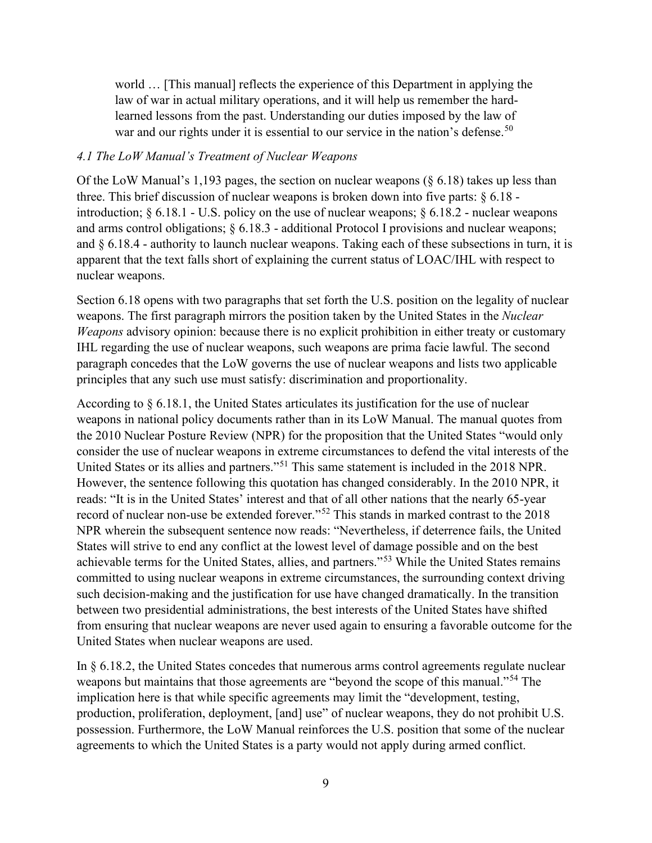world … [This manual] reflects the experience of this Department in applying the law of war in actual military operations, and it will help us remember the hardlearned lessons from the past. Understanding our duties imposed by the law of war and our rights under it is essential to our service in the nation's defense.<sup>[50](#page-22-16)</sup>

#### *4.1 The LoW Manual's Treatment of Nuclear Weapons*

Of the LoW Manual's 1,193 pages, the section on nuclear weapons (§ 6.18) takes up less than three. This brief discussion of nuclear weapons is broken down into five parts: § 6.18 introduction; § 6.18.1 - U.S. policy on the use of nuclear weapons; § 6.18.2 - nuclear weapons and arms control obligations; § 6.18.3 - additional Protocol I provisions and nuclear weapons; and  $\S 6.18.4$  - authority to launch nuclear weapons. Taking each of these subsections in turn, it is apparent that the text falls short of explaining the current status of LOAC/IHL with respect to nuclear weapons.

Section 6.18 opens with two paragraphs that set forth the U.S. position on the legality of nuclear weapons. The first paragraph mirrors the position taken by the United States in the *Nuclear Weapons* advisory opinion: because there is no explicit prohibition in either treaty or customary IHL regarding the use of nuclear weapons, such weapons are prima facie lawful. The second paragraph concedes that the LoW governs the use of nuclear weapons and lists two applicable principles that any such use must satisfy: discrimination and proportionality.

According to § 6.18.1, the United States articulates its justification for the use of nuclear weapons in national policy documents rather than in its LoW Manual. The manual quotes from the 2010 Nuclear Posture Review (NPR) for the proposition that the United States "would only consider the use of nuclear weapons in extreme circumstances to defend the vital interests of the United States or its allies and partners."[51](#page-22-17) This same statement is included in the 2018 NPR. However, the sentence following this quotation has changed considerably. In the 2010 NPR, it reads: "It is in the United States' interest and that of all other nations that the nearly 65-year record of nuclear non-use be extended forever."[52](#page-23-0) This stands in marked contrast to the 2018 NPR wherein the subsequent sentence now reads: "Nevertheless, if deterrence fails, the United States will strive to end any conflict at the lowest level of damage possible and on the best achievable terms for the United States, allies, and partners."[53](#page-23-1) While the United States remains committed to using nuclear weapons in extreme circumstances, the surrounding context driving such decision-making and the justification for use have changed dramatically. In the transition between two presidential administrations, the best interests of the United States have shifted from ensuring that nuclear weapons are never used again to ensuring a favorable outcome for the United States when nuclear weapons are used.

In § 6.18.2, the United States concedes that numerous arms control agreements regulate nuclear weapons but maintains that those agreements are "beyond the scope of this manual."<sup>[54](#page-23-2)</sup> The implication here is that while specific agreements may limit the "development, testing, production, proliferation, deployment, [and] use" of nuclear weapons, they do not prohibit U.S. possession. Furthermore, the LoW Manual reinforces the U.S. position that some of the nuclear agreements to which the United States is a party would not apply during armed conflict.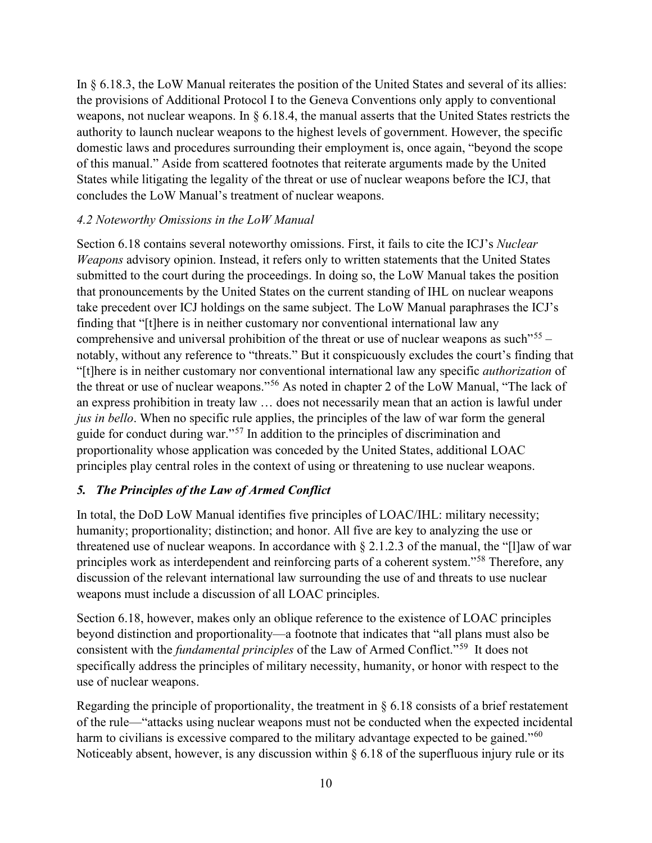In § 6.18.3, the LoW Manual reiterates the position of the United States and several of its allies: the provisions of Additional Protocol I to the Geneva Conventions only apply to conventional weapons, not nuclear weapons. In § 6.18.4, the manual asserts that the United States restricts the authority to launch nuclear weapons to the highest levels of government. However, the specific domestic laws and procedures surrounding their employment is, once again, "beyond the scope of this manual." Aside from scattered footnotes that reiterate arguments made by the United States while litigating the legality of the threat or use of nuclear weapons before the ICJ, that concludes the LoW Manual's treatment of nuclear weapons.

#### *4.2 Noteworthy Omissions in the LoW Manual*

Section 6.18 contains several noteworthy omissions. First, it fails to cite the ICJ's *Nuclear Weapons* advisory opinion. Instead, it refers only to written statements that the United States submitted to the court during the proceedings. In doing so, the LoW Manual takes the position that pronouncements by the United States on the current standing of IHL on nuclear weapons take precedent over ICJ holdings on the same subject. The LoW Manual paraphrases the ICJ's finding that "[t]here is in neither customary nor conventional international law any comprehensive and universal prohibition of the threat or use of nuclear weapons as such<sup> $155 155 155 -$ </sup> notably, without any reference to "threats." But it conspicuously excludes the court's finding that "[t]here is in neither customary nor conventional international law any specific *authorization* of the threat or use of nuclear weapons."[56](#page-23-4) As noted in chapter 2 of the LoW Manual, "The lack of an express prohibition in treaty law … does not necessarily mean that an action is lawful under *jus in bello*. When no specific rule applies, the principles of the law of war form the general guide for conduct during war."[57](#page-23-5) In addition to the principles of discrimination and proportionality whose application was conceded by the United States, additional LOAC principles play central roles in the context of using or threatening to use nuclear weapons.

#### *5. The Principles of the Law of Armed Conflict*

In total, the DoD LoW Manual identifies five principles of LOAC/IHL: military necessity; humanity; proportionality; distinction; and honor. All five are key to analyzing the use or threatened use of nuclear weapons. In accordance with  $\S 2.1.2.3$  of the manual, the "[1]aw of war principles work as interdependent and reinforcing parts of a coherent system."[58](#page-23-6) Therefore, any discussion of the relevant international law surrounding the use of and threats to use nuclear weapons must include a discussion of all LOAC principles.

Section 6.18, however, makes only an oblique reference to the existence of LOAC principles beyond distinction and proportionality—a footnote that indicates that "all plans must also be consistent with the *fundamental principles* of the Law of Armed Conflict."[59](#page-23-7) It does not specifically address the principles of military necessity, humanity, or honor with respect to the use of nuclear weapons.

Regarding the principle of proportionality, the treatment in  $\S 6.18$  consists of a brief restatement of the rule—"attacks using nuclear weapons must not be conducted when the expected incidental harm to civilians is excessive compared to the military advantage expected to be gained."<sup>[60](#page-23-8)</sup> Noticeably absent, however, is any discussion within  $\S 6.18$  of the superfluous injury rule or its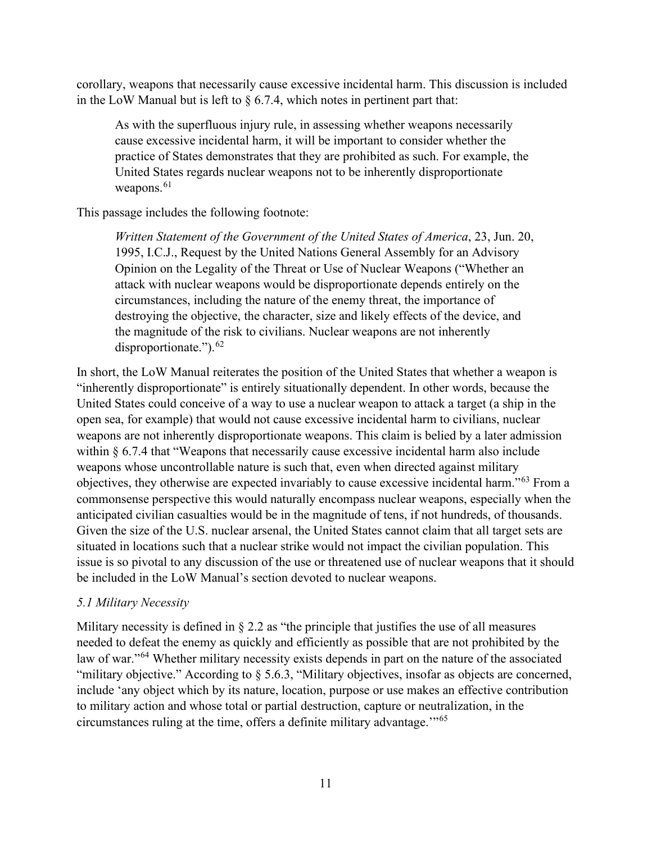corollary, weapons that necessarily cause excessive incidental harm. This discussion is included in the LoW Manual but is left to  $\S$  6.7.4, which notes in pertinent part that:

As with the superfluous injury rule, in assessing whether weapons necessarily cause excessive incidental harm, it will be important to consider whether the practice of States demonstrates that they are prohibited as such. For example, the United States regards nuclear weapons not to be inherently disproportionate weapons. $61$ 

This passage includes the following footnote:

*Written Statement of the Government of the United States of America*, 23, Jun. 20, 1995, I.C.J., Request by the United Nations General Assembly for an Advisory Opinion on the Legality of the Threat or Use of Nuclear Weapons ("Whether an attack with nuclear weapons would be disproportionate depends entirely on the circumstances, including the nature of the enemy threat, the importance of destroying the objective, the character, size and likely effects of the device, and the magnitude of the risk to civilians. Nuclear weapons are not inherently disproportionate.").<sup>[62](#page-23-10)</sup>

In short, the LoW Manual reiterates the position of the United States that whether a weapon is "inherently disproportionate" is entirely situationally dependent. In other words, because the United States could conceive of a way to use a nuclear weapon to attack a target (a ship in the open sea, for example) that would not cause excessive incidental harm to civilians, nuclear weapons are not inherently disproportionate weapons. This claim is belied by a later admission within § 6.7.4 that "Weapons that necessarily cause excessive incidental harm also include weapons whose uncontrollable nature is such that, even when directed against military objectives, they otherwise are expected invariably to cause excessive incidental harm."[63](#page-23-11) From a commonsense perspective this would naturally encompass nuclear weapons, especially when the anticipated civilian casualties would be in the magnitude of tens, if not hundreds, of thousands. Given the size of the U.S. nuclear arsenal, the United States cannot claim that all target sets are situated in locations such that a nuclear strike would not impact the civilian population. This issue is so pivotal to any discussion of the use or threatened use of nuclear weapons that it should be included in the LoW Manual's section devoted to nuclear weapons.

#### *5.1 Military Necessity*

Military necessity is defined in  $\S 2.2$  as "the principle that justifies the use of all measures needed to defeat the enemy as quickly and efficiently as possible that are not prohibited by the law of war."<sup>[64](#page-23-12)</sup> Whether military necessity exists depends in part on the nature of the associated "military objective." According to § 5.6.3, "Military objectives, insofar as objects are concerned, include 'any object which by its nature, location, purpose or use makes an effective contribution to military action and whose total or partial destruction, capture or neutralization, in the circumstances ruling at the time, offers a definite military advantage.'"[65](#page-23-13)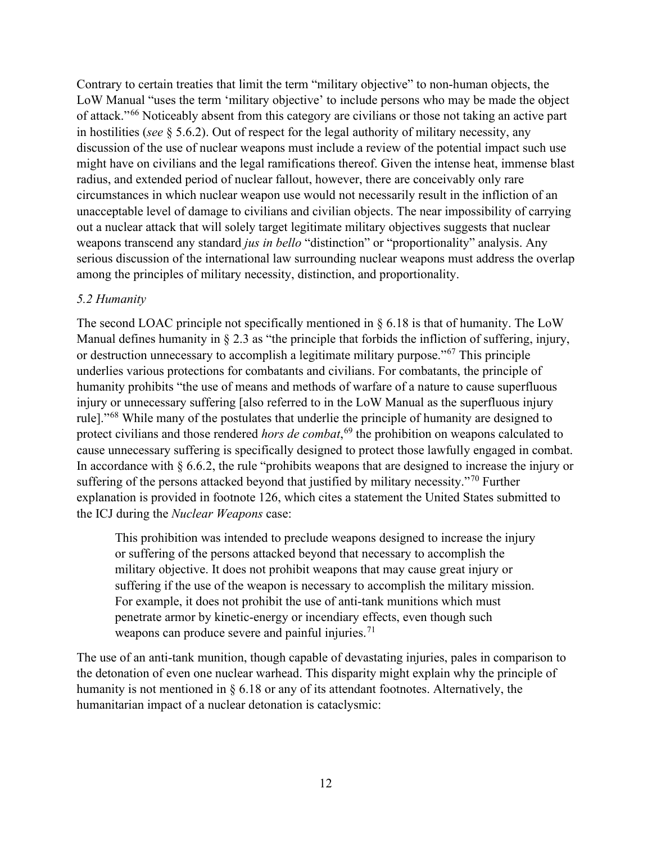Contrary to certain treaties that limit the term "military objective" to non-human objects, the LoW Manual "uses the term 'military objective' to include persons who may be made the object of attack."[66](#page-23-14) Noticeably absent from this category are civilians or those not taking an active part in hostilities (*see* § 5.6.2). Out of respect for the legal authority of military necessity, any discussion of the use of nuclear weapons must include a review of the potential impact such use might have on civilians and the legal ramifications thereof. Given the intense heat, immense blast radius, and extended period of nuclear fallout, however, there are conceivably only rare circumstances in which nuclear weapon use would not necessarily result in the infliction of an unacceptable level of damage to civilians and civilian objects. The near impossibility of carrying out a nuclear attack that will solely target legitimate military objectives suggests that nuclear weapons transcend any standard *jus in bello* "distinction" or "proportionality" analysis. Any serious discussion of the international law surrounding nuclear weapons must address the overlap among the principles of military necessity, distinction, and proportionality.

#### *5.2 Humanity*

The second LOAC principle not specifically mentioned in  $\S 6.18$  is that of humanity. The LoW Manual defines humanity in § 2.3 as "the principle that forbids the infliction of suffering, injury, or destruction unnecessary to accomplish a legitimate military purpose."[67](#page-23-15) This principle underlies various protections for combatants and civilians. For combatants, the principle of humanity prohibits "the use of means and methods of warfare of a nature to cause superfluous injury or unnecessary suffering [also referred to in the LoW Manual as the superfluous injury rule]."<sup>[68](#page-23-16)</sup> While many of the postulates that underlie the principle of humanity are designed to protect civilians and those rendered *hors de combat*, [69](#page-23-17) the prohibition on weapons calculated to cause unnecessary suffering is specifically designed to protect those lawfully engaged in combat. In accordance with  $\S 6.6.2$ , the rule "prohibits weapons that are designed to increase the injury or suffering of the persons attacked beyond that justified by military necessity."<sup>[70](#page-24-0)</sup> Further explanation is provided in footnote 126, which cites a statement the United States submitted to the ICJ during the *Nuclear Weapons* case:

This prohibition was intended to preclude weapons designed to increase the injury or suffering of the persons attacked beyond that necessary to accomplish the military objective. It does not prohibit weapons that may cause great injury or suffering if the use of the weapon is necessary to accomplish the military mission. For example, it does not prohibit the use of anti-tank munitions which must penetrate armor by kinetic-energy or incendiary effects, even though such weapons can produce severe and painful injuries.<sup>[71](#page-24-1)</sup>

The use of an anti-tank munition, though capable of devastating injuries, pales in comparison to the detonation of even one nuclear warhead. This disparity might explain why the principle of humanity is not mentioned in § 6.18 or any of its attendant footnotes. Alternatively, the humanitarian impact of a nuclear detonation is cataclysmic: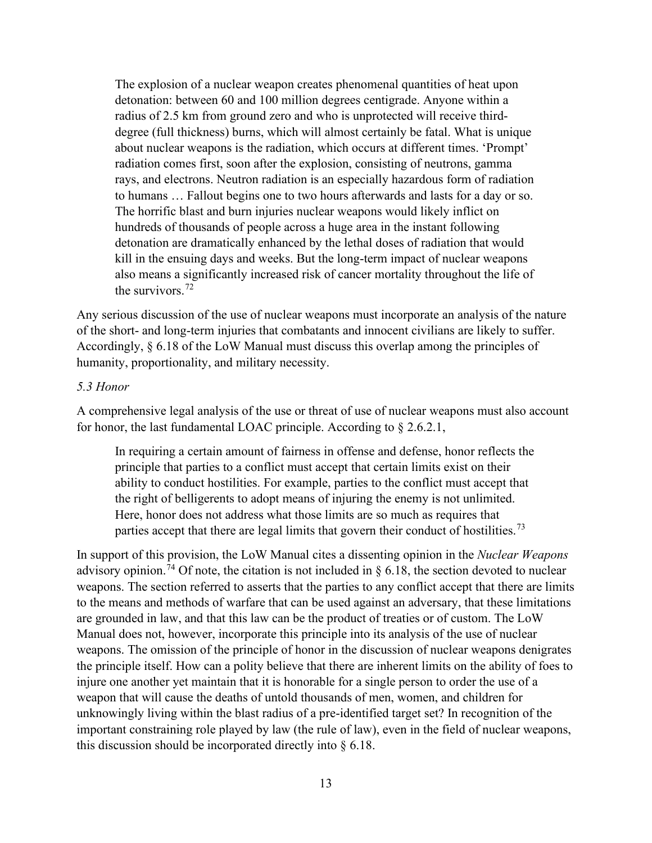The explosion of a nuclear weapon creates phenomenal quantities of heat upon detonation: between 60 and 100 million degrees centigrade. Anyone within a radius of 2.5 km from ground zero and who is unprotected will receive thirddegree (full thickness) burns, which will almost certainly be fatal. What is unique about nuclear weapons is the radiation, which occurs at different times. 'Prompt' radiation comes first, soon after the explosion, consisting of neutrons, gamma rays, and electrons. Neutron radiation is an especially hazardous form of radiation to humans … Fallout begins one to two hours afterwards and lasts for a day or so. The horrific blast and burn injuries nuclear weapons would likely inflict on hundreds of thousands of people across a huge area in the instant following detonation are dramatically enhanced by the lethal doses of radiation that would kill in the ensuing days and weeks. But the long-term impact of nuclear weapons also means a significantly increased risk of cancer mortality throughout the life of the survivors.  $72$ 

Any serious discussion of the use of nuclear weapons must incorporate an analysis of the nature of the short- and long-term injuries that combatants and innocent civilians are likely to suffer. Accordingly, § 6.18 of the LoW Manual must discuss this overlap among the principles of humanity, proportionality, and military necessity.

#### *5.3 Honor*

A comprehensive legal analysis of the use or threat of use of nuclear weapons must also account for honor, the last fundamental LOAC principle. According to § 2.6.2.1,

In requiring a certain amount of fairness in offense and defense, honor reflects the principle that parties to a conflict must accept that certain limits exist on their ability to conduct hostilities. For example, parties to the conflict must accept that the right of belligerents to adopt means of injuring the enemy is not unlimited. Here, honor does not address what those limits are so much as requires that parties accept that there are legal limits that govern their conduct of hostilities.<sup>[73](#page-24-3)</sup>

In support of this provision, the LoW Manual cites a dissenting opinion in the *Nuclear Weapons* advisory opinion.<sup>[74](#page-24-4)</sup> Of note, the citation is not included in  $\S$  6.18, the section devoted to nuclear weapons. The section referred to asserts that the parties to any conflict accept that there are limits to the means and methods of warfare that can be used against an adversary, that these limitations are grounded in law, and that this law can be the product of treaties or of custom. The LoW Manual does not, however, incorporate this principle into its analysis of the use of nuclear weapons. The omission of the principle of honor in the discussion of nuclear weapons denigrates the principle itself. How can a polity believe that there are inherent limits on the ability of foes to injure one another yet maintain that it is honorable for a single person to order the use of a weapon that will cause the deaths of untold thousands of men, women, and children for unknowingly living within the blast radius of a pre-identified target set? In recognition of the important constraining role played by law (the rule of law), even in the field of nuclear weapons, this discussion should be incorporated directly into § 6.18.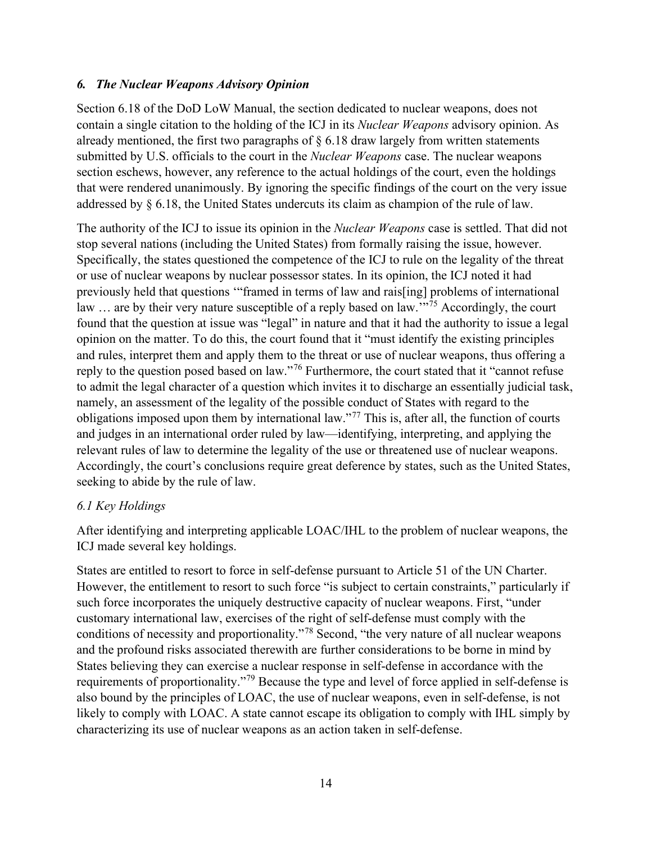#### *6. The Nuclear Weapons Advisory Opinion*

Section 6.18 of the DoD LoW Manual, the section dedicated to nuclear weapons, does not contain a single citation to the holding of the ICJ in its *Nuclear Weapons* advisory opinion. As already mentioned, the first two paragraphs of  $\S$  6.18 draw largely from written statements submitted by U.S. officials to the court in the *Nuclear Weapons* case. The nuclear weapons section eschews, however, any reference to the actual holdings of the court, even the holdings that were rendered unanimously. By ignoring the specific findings of the court on the very issue addressed by § 6.18, the United States undercuts its claim as champion of the rule of law.

The authority of the ICJ to issue its opinion in the *Nuclear Weapons* case is settled. That did not stop several nations (including the United States) from formally raising the issue, however. Specifically, the states questioned the competence of the ICJ to rule on the legality of the threat or use of nuclear weapons by nuclear possessor states. In its opinion, the ICJ noted it had previously held that questions '"framed in terms of law and rais[ing] problems of international law ... are by their very nature susceptible of a reply based on law."<sup>[75](#page-24-5)</sup> Accordingly, the court found that the question at issue was "legal" in nature and that it had the authority to issue a legal opinion on the matter. To do this, the court found that it "must identify the existing principles and rules, interpret them and apply them to the threat or use of nuclear weapons, thus offering a reply to the question posed based on law."[76](#page-24-6) Furthermore, the court stated that it "cannot refuse to admit the legal character of a question which invites it to discharge an essentially judicial task, namely, an assessment of the legality of the possible conduct of States with regard to the obligations imposed upon them by international law."[77](#page-24-7) This is, after all, the function of courts and judges in an international order ruled by law—identifying, interpreting, and applying the relevant rules of law to determine the legality of the use or threatened use of nuclear weapons. Accordingly, the court's conclusions require great deference by states, such as the United States, seeking to abide by the rule of law.

#### *6.1 Key Holdings*

After identifying and interpreting applicable LOAC/IHL to the problem of nuclear weapons, the ICJ made several key holdings.

States are entitled to resort to force in self-defense pursuant to Article 51 of the UN Charter. However, the entitlement to resort to such force "is subject to certain constraints," particularly if such force incorporates the uniquely destructive capacity of nuclear weapons. First, "under customary international law, exercises of the right of self-defense must comply with the conditions of necessity and proportionality."[78](#page-24-8) Second, "the very nature of all nuclear weapons and the profound risks associated therewith are further considerations to be borne in mind by States believing they can exercise a nuclear response in self-defense in accordance with the requirements of proportionality."[79](#page-24-9) Because the type and level of force applied in self-defense is also bound by the principles of LOAC, the use of nuclear weapons, even in self-defense, is not likely to comply with LOAC. A state cannot escape its obligation to comply with IHL simply by characterizing its use of nuclear weapons as an action taken in self-defense.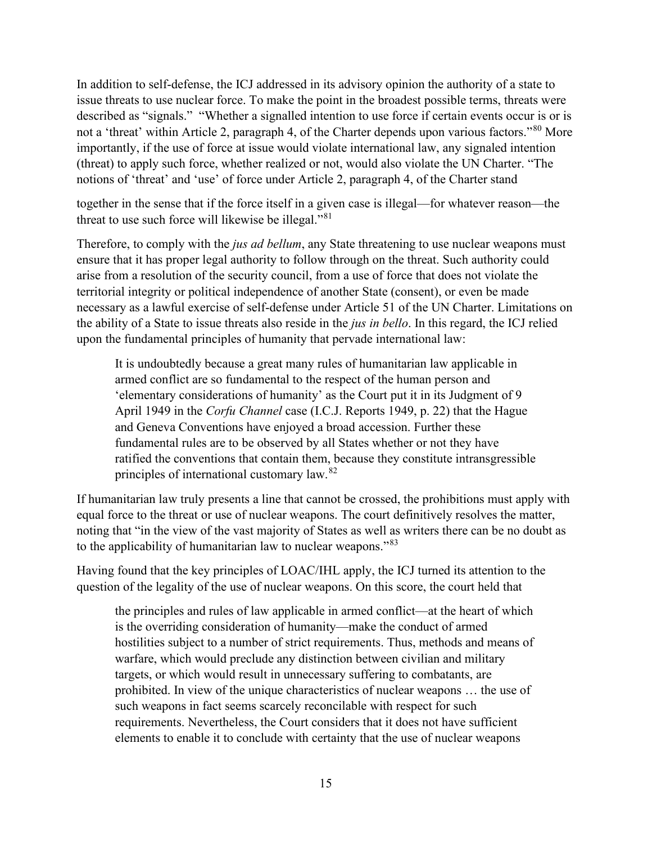In addition to self-defense, the ICJ addressed in its advisory opinion the authority of a state to issue threats to use nuclear force. To make the point in the broadest possible terms, threats were described as "signals." "Whether a signalled intention to use force if certain events occur is or is not a 'threat' within Article 2, paragraph 4, of the Charter depends upon various factors."<sup>[80](#page-24-10)</sup> More importantly, if the use of force at issue would violate international law, any signaled intention (threat) to apply such force, whether realized or not, would also violate the UN Charter. "The notions of 'threat' and 'use' of force under Article 2, paragraph 4, of the Charter stand

together in the sense that if the force itself in a given case is illegal—for whatever reason—the threat to use such force will likewise be illegal."<sup>[81](#page-24-11)</sup>

Therefore, to comply with the *jus ad bellum*, any State threatening to use nuclear weapons must ensure that it has proper legal authority to follow through on the threat. Such authority could arise from a resolution of the security council, from a use of force that does not violate the territorial integrity or political independence of another State (consent), or even be made necessary as a lawful exercise of self-defense under Article 51 of the UN Charter. Limitations on the ability of a State to issue threats also reside in the *jus in bello*. In this regard, the ICJ relied upon the fundamental principles of humanity that pervade international law:

It is undoubtedly because a great many rules of humanitarian law applicable in armed conflict are so fundamental to the respect of the human person and 'elementary considerations of humanity' as the Court put it in its Judgment of 9 April 1949 in the *Corfu Channel* case (I.C.J. Reports 1949, p. 22) that the Hague and Geneva Conventions have enjoyed a broad accession. Further these fundamental rules are to be observed by all States whether or not they have ratified the conventions that contain them, because they constitute intransgressible principles of international customary law.[82](#page-24-12)

If humanitarian law truly presents a line that cannot be crossed, the prohibitions must apply with equal force to the threat or use of nuclear weapons. The court definitively resolves the matter, noting that "in the view of the vast majority of States as well as writers there can be no doubt as to the applicability of humanitarian law to nuclear weapons."<sup>[83](#page-24-13)</sup>

Having found that the key principles of LOAC/IHL apply, the ICJ turned its attention to the question of the legality of the use of nuclear weapons. On this score, the court held that

the principles and rules of law applicable in armed conflict—at the heart of which is the overriding consideration of humanity—make the conduct of armed hostilities subject to a number of strict requirements. Thus, methods and means of warfare, which would preclude any distinction between civilian and military targets, or which would result in unnecessary suffering to combatants, are prohibited. In view of the unique characteristics of nuclear weapons … the use of such weapons in fact seems scarcely reconcilable with respect for such requirements. Nevertheless, the Court considers that it does not have sufficient elements to enable it to conclude with certainty that the use of nuclear weapons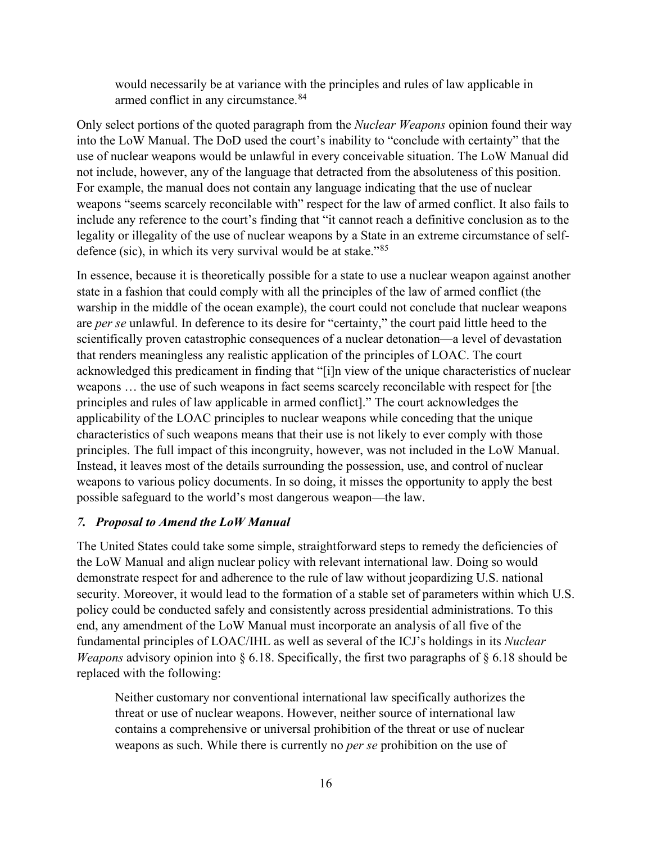would necessarily be at variance with the principles and rules of law applicable in armed conflict in any circumstance.<sup>[84](#page-24-14)</sup>

Only select portions of the quoted paragraph from the *Nuclear Weapons* opinion found their way into the LoW Manual. The DoD used the court's inability to "conclude with certainty" that the use of nuclear weapons would be unlawful in every conceivable situation. The LoW Manual did not include, however, any of the language that detracted from the absoluteness of this position. For example, the manual does not contain any language indicating that the use of nuclear weapons "seems scarcely reconcilable with" respect for the law of armed conflict. It also fails to include any reference to the court's finding that "it cannot reach a definitive conclusion as to the legality or illegality of the use of nuclear weapons by a State in an extreme circumstance of selfdefence (sic), in which its very survival would be at stake."[85](#page-24-15)

In essence, because it is theoretically possible for a state to use a nuclear weapon against another state in a fashion that could comply with all the principles of the law of armed conflict (the warship in the middle of the ocean example), the court could not conclude that nuclear weapons are *per se* unlawful. In deference to its desire for "certainty," the court paid little heed to the scientifically proven catastrophic consequences of a nuclear detonation—a level of devastation that renders meaningless any realistic application of the principles of LOAC. The court acknowledged this predicament in finding that "[i]n view of the unique characteristics of nuclear weapons … the use of such weapons in fact seems scarcely reconcilable with respect for [the principles and rules of law applicable in armed conflict]." The court acknowledges the applicability of the LOAC principles to nuclear weapons while conceding that the unique characteristics of such weapons means that their use is not likely to ever comply with those principles. The full impact of this incongruity, however, was not included in the LoW Manual. Instead, it leaves most of the details surrounding the possession, use, and control of nuclear weapons to various policy documents. In so doing, it misses the opportunity to apply the best possible safeguard to the world's most dangerous weapon—the law.

#### *7. Proposal to Amend the LoW Manual*

The United States could take some simple, straightforward steps to remedy the deficiencies of the LoW Manual and align nuclear policy with relevant international law. Doing so would demonstrate respect for and adherence to the rule of law without jeopardizing U.S. national security. Moreover, it would lead to the formation of a stable set of parameters within which U.S. policy could be conducted safely and consistently across presidential administrations. To this end, any amendment of the LoW Manual must incorporate an analysis of all five of the fundamental principles of LOAC/IHL as well as several of the ICJ's holdings in its *Nuclear Weapons* advisory opinion into § 6.18. Specifically, the first two paragraphs of § 6.18 should be replaced with the following:

Neither customary nor conventional international law specifically authorizes the threat or use of nuclear weapons. However, neither source of international law contains a comprehensive or universal prohibition of the threat or use of nuclear weapons as such. While there is currently no *per se* prohibition on the use of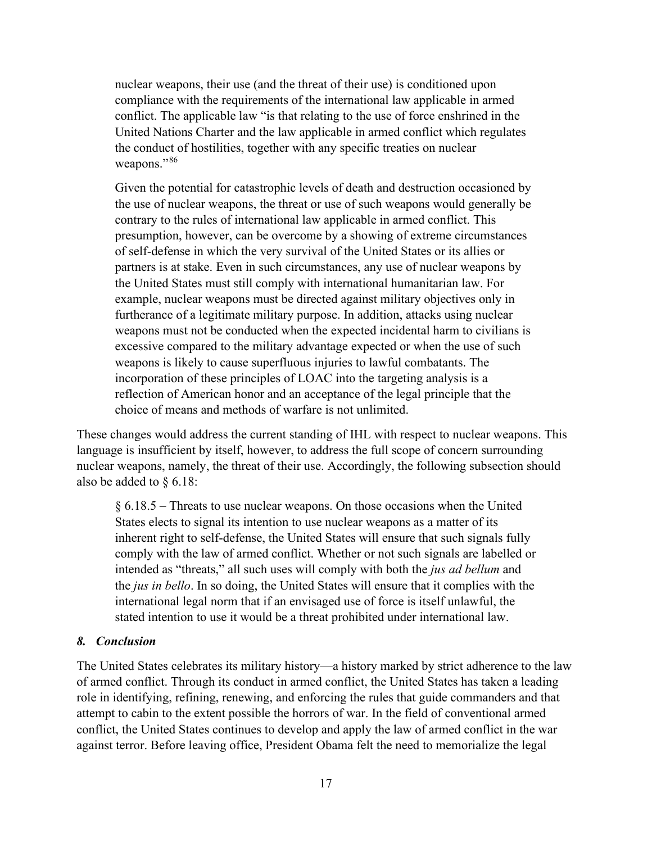nuclear weapons, their use (and the threat of their use) is conditioned upon compliance with the requirements of the international law applicable in armed conflict. The applicable law "is that relating to the use of force enshrined in the United Nations Charter and the law applicable in armed conflict which regulates the conduct of hostilities, together with any specific treaties on nuclear weapons."<sup>[86](#page-24-16)</sup>

Given the potential for catastrophic levels of death and destruction occasioned by the use of nuclear weapons, the threat or use of such weapons would generally be contrary to the rules of international law applicable in armed conflict. This presumption, however, can be overcome by a showing of extreme circumstances of self-defense in which the very survival of the United States or its allies or partners is at stake. Even in such circumstances, any use of nuclear weapons by the United States must still comply with international humanitarian law. For example, nuclear weapons must be directed against military objectives only in furtherance of a legitimate military purpose. In addition, attacks using nuclear weapons must not be conducted when the expected incidental harm to civilians is excessive compared to the military advantage expected or when the use of such weapons is likely to cause superfluous injuries to lawful combatants. The incorporation of these principles of LOAC into the targeting analysis is a reflection of American honor and an acceptance of the legal principle that the choice of means and methods of warfare is not unlimited.

These changes would address the current standing of IHL with respect to nuclear weapons. This language is insufficient by itself, however, to address the full scope of concern surrounding nuclear weapons, namely, the threat of their use. Accordingly, the following subsection should also be added to § 6.18:

§ 6.18.5 – Threats to use nuclear weapons. On those occasions when the United States elects to signal its intention to use nuclear weapons as a matter of its inherent right to self-defense, the United States will ensure that such signals fully comply with the law of armed conflict. Whether or not such signals are labelled or intended as "threats," all such uses will comply with both the *jus ad bellum* and the *jus in bello*. In so doing, the United States will ensure that it complies with the international legal norm that if an envisaged use of force is itself unlawful, the stated intention to use it would be a threat prohibited under international law.

#### *8. Conclusion*

The United States celebrates its military history—a history marked by strict adherence to the law of armed conflict. Through its conduct in armed conflict, the United States has taken a leading role in identifying, refining, renewing, and enforcing the rules that guide commanders and that attempt to cabin to the extent possible the horrors of war. In the field of conventional armed conflict, the United States continues to develop and apply the law of armed conflict in the war against terror. Before leaving office, President Obama felt the need to memorialize the legal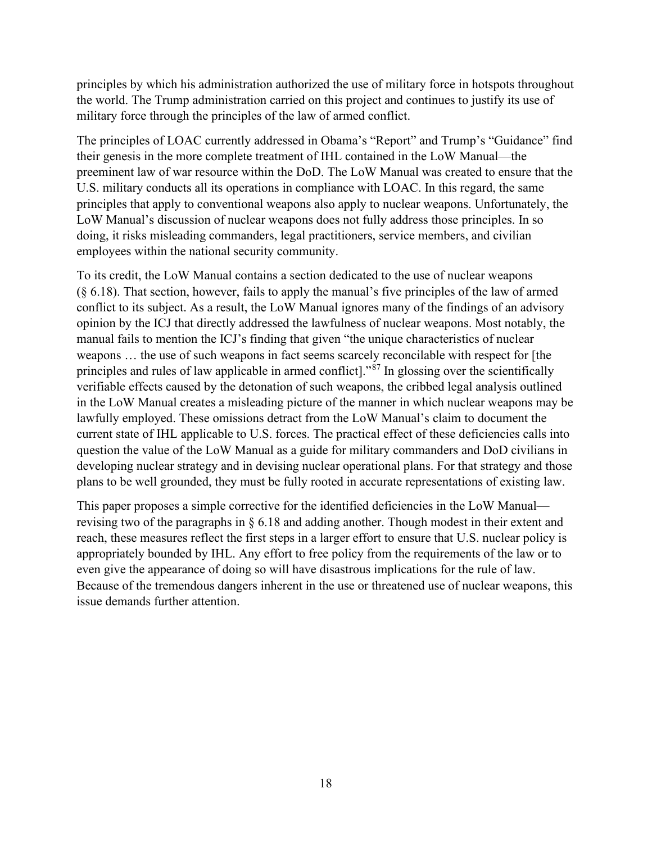principles by which his administration authorized the use of military force in hotspots throughout the world. The Trump administration carried on this project and continues to justify its use of military force through the principles of the law of armed conflict.

The principles of LOAC currently addressed in Obama's "Report" and Trump's "Guidance" find their genesis in the more complete treatment of IHL contained in the LoW Manual—the preeminent law of war resource within the DoD. The LoW Manual was created to ensure that the U.S. military conducts all its operations in compliance with LOAC. In this regard, the same principles that apply to conventional weapons also apply to nuclear weapons. Unfortunately, the LoW Manual's discussion of nuclear weapons does not fully address those principles. In so doing, it risks misleading commanders, legal practitioners, service members, and civilian employees within the national security community.

To its credit, the LoW Manual contains a section dedicated to the use of nuclear weapons (§ 6.18). That section, however, fails to apply the manual's five principles of the law of armed conflict to its subject. As a result, the LoW Manual ignores many of the findings of an advisory opinion by the ICJ that directly addressed the lawfulness of nuclear weapons. Most notably, the manual fails to mention the ICJ's finding that given "the unique characteristics of nuclear weapons … the use of such weapons in fact seems scarcely reconcilable with respect for [the principles and rules of law applicable in armed conflict]."<sup>[87](#page-24-17)</sup> In glossing over the scientifically verifiable effects caused by the detonation of such weapons, the cribbed legal analysis outlined in the LoW Manual creates a misleading picture of the manner in which nuclear weapons may be lawfully employed. These omissions detract from the LoW Manual's claim to document the current state of IHL applicable to U.S. forces. The practical effect of these deficiencies calls into question the value of the LoW Manual as a guide for military commanders and DoD civilians in developing nuclear strategy and in devising nuclear operational plans. For that strategy and those plans to be well grounded, they must be fully rooted in accurate representations of existing law.

This paper proposes a simple corrective for the identified deficiencies in the LoW Manual revising two of the paragraphs in § 6.18 and adding another. Though modest in their extent and reach, these measures reflect the first steps in a larger effort to ensure that U.S. nuclear policy is appropriately bounded by IHL. Any effort to free policy from the requirements of the law or to even give the appearance of doing so will have disastrous implications for the rule of law. Because of the tremendous dangers inherent in the use or threatened use of nuclear weapons, this issue demands further attention.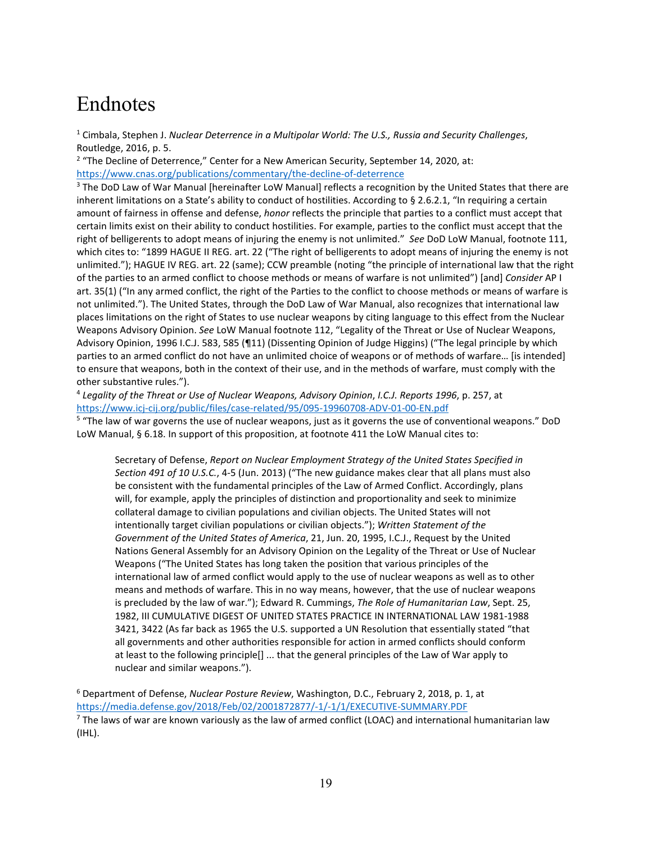## <span id="page-19-0"></span>Endnotes

<sup>1</sup> Cimbala, Stephen J. *Nuclear Deterrence in a Multipolar World: The U.S., Russia and Security Challenges*, Routledge, 2016, p. 5.

<span id="page-19-1"></span> $2$  "The Decline of Deterrence," Center for a New American Security, September 14, 2020, at: <https://www.cnas.org/publications/commentary/the-decline-of-deterrence>

<span id="page-19-2"></span><sup>3</sup> The DoD Law of War Manual [hereinafter LoW Manual] reflects a recognition by the United States that there are inherent limitations on a State's ability to conduct of hostilities. According to § 2.6.2.1, "In requiring a certain amount of fairness in offense and defense, *honor* reflects the principle that parties to a conflict must accept that certain limits exist on their ability to conduct hostilities. For example, parties to the conflict must accept that the right of belligerents to adopt means of injuring the enemy is not unlimited." *See* DoD LoW Manual, footnote 111, which cites to: "1899 HAGUE II REG. art. 22 ("The right of belligerents to adopt means of injuring the enemy is not unlimited."); HAGUE IV REG. art. 22 (same); CCW preamble (noting "the principle of international law that the right of the parties to an armed conflict to choose methods or means of warfare is not unlimited") [and] *Consider* AP I art. 35(1) ("In any armed conflict, the right of the Parties to the conflict to choose methods or means of warfare is not unlimited."). The United States, through the DoD Law of War Manual, also recognizes that international law places limitations on the right of States to use nuclear weapons by citing language to this effect from the Nuclear Weapons Advisory Opinion. *See* LoW Manual footnote 112, "Legality of the Threat or Use of Nuclear Weapons, Advisory Opinion, 1996 I.C.J. 583, 585 (¶11) (Dissenting Opinion of Judge Higgins) ("The legal principle by which parties to an armed conflict do not have an unlimited choice of weapons or of methods of warfare… [is intended] to ensure that weapons, both in the context of their use, and in the methods of warfare, must comply with the other substantive rules.").

<span id="page-19-3"></span><sup>4</sup> *Legality of the Threat or Use of Nuclear Weapons, Advisory Opinion*, *I.C.J. Reports 1996*, p. 257, at <https://www.icj-cij.org/public/files/case-related/95/095-19960708-ADV-01-00-EN.pdf>

<span id="page-19-4"></span><sup>5</sup> "The law of war governs the use of nuclear weapons, just as it governs the use of conventional weapons." DoD LoW Manual, § 6.18. In support of this proposition, at footnote 411 the LoW Manual cites to:

Secretary of Defense, *Report on Nuclear Employment Strategy of the United States Specified in Section 491 of 10 U.S.C.*, 4-5 (Jun. 2013) ("The new guidance makes clear that all plans must also be consistent with the fundamental principles of the Law of Armed Conflict. Accordingly, plans will, for example, apply the principles of distinction and proportionality and seek to minimize collateral damage to civilian populations and civilian objects. The United States will not intentionally target civilian populations or civilian objects."); *Written Statement of the Government of the United States of America*, 21, Jun. 20, 1995, I.C.J., Request by the United Nations General Assembly for an Advisory Opinion on the Legality of the Threat or Use of Nuclear Weapons ("The United States has long taken the position that various principles of the international law of armed conflict would apply to the use of nuclear weapons as well as to other means and methods of warfare. This in no way means, however, that the use of nuclear weapons is precluded by the law of war."); Edward R. Cummings, *The Role of Humanitarian Law*, Sept. 25, 1982, III CUMULATIVE DIGEST OF UNITED STATES PRACTICE IN INTERNATIONAL LAW 1981-1988 3421, 3422 (As far back as 1965 the U.S. supported a UN Resolution that essentially stated "that all governments and other authorities responsible for action in armed conflicts should conform at least to the following principle[] ... that the general principles of the Law of War apply to nuclear and similar weapons.").

<span id="page-19-5"></span><sup>6</sup> Department of Defense, *Nuclear Posture Review*, Washington, D.C., February 2, 2018, p. 1, at <https://media.defense.gov/2018/Feb/02/2001872877/-1/-1/1/EXECUTIVE-SUMMARY.PDF>

<span id="page-19-6"></span> $<sup>7</sup>$  The laws of war are known variously as the law of armed conflict (LOAC) and international humanitarian law</sup> (IHL).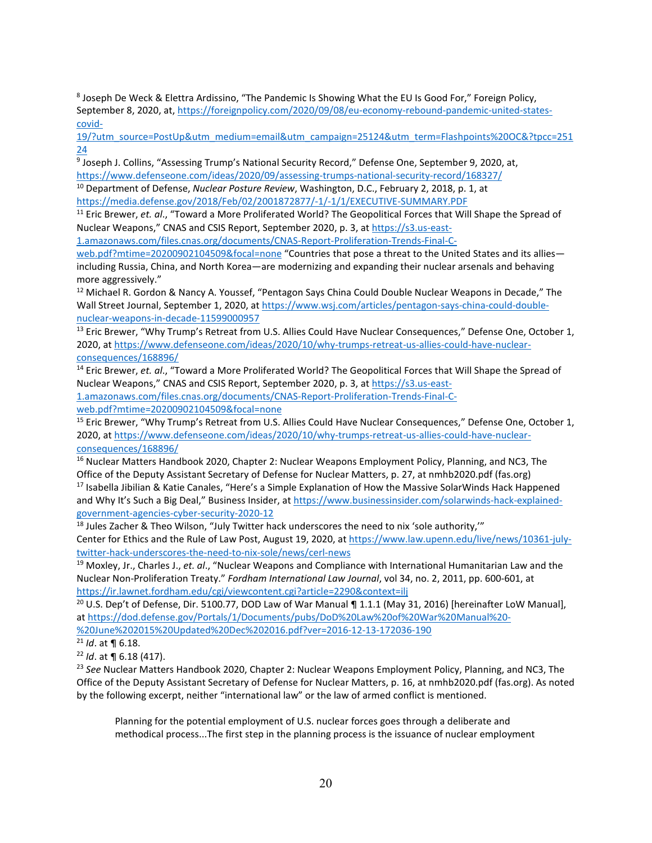<span id="page-20-0"></span><sup>8</sup> Joseph De Weck & Elettra Ardissino, "The Pandemic Is Showing What the EU Is Good For," Foreign Policy, September 8, 2020, at, [https://foreignpolicy.com/2020/09/08/eu-economy-rebound-pandemic-united-states](https://foreignpolicy.com/2020/09/08/eu-economy-rebound-pandemic-united-states-covid-19/?utm_source=PostUp&utm_medium=email&utm_campaign=25124&utm_term=Flashpoints%20OC&?tpcc=25124)[covid-](https://foreignpolicy.com/2020/09/08/eu-economy-rebound-pandemic-united-states-covid-19/?utm_source=PostUp&utm_medium=email&utm_campaign=25124&utm_term=Flashpoints%20OC&?tpcc=25124)

[19/?utm\\_source=PostUp&utm\\_medium=email&utm\\_campaign=25124&utm\\_term=Flashpoints%20OC&?tpcc=251](https://foreignpolicy.com/2020/09/08/eu-economy-rebound-pandemic-united-states-covid-19/?utm_source=PostUp&utm_medium=email&utm_campaign=25124&utm_term=Flashpoints%20OC&?tpcc=25124) [24](https://foreignpolicy.com/2020/09/08/eu-economy-rebound-pandemic-united-states-covid-19/?utm_source=PostUp&utm_medium=email&utm_campaign=25124&utm_term=Flashpoints%20OC&?tpcc=25124)

<span id="page-20-1"></span><sup>9</sup> Joseph J. Collins, "Assessing Trump's National Security Record," Defense One, September 9, 2020, at, https://www.defenseone.com/ideas/2020/09/assessing-trumps-national-security-record/168327/

<span id="page-20-2"></span><sup>10</sup> Department of Defense, Nuclear Posture Review, Washington, D.C., February 2, 2018, p. 1, at <https://media.defense.gov/2018/Feb/02/2001872877/-1/-1/1/EXECUTIVE-SUMMARY.PDF>

<span id="page-20-3"></span><sup>11</sup> Eric Brewer, *et. al*., "Toward a More Proliferated World? The Geopolitical Forces that Will Shape the Spread of Nuclear Weapons," CNAS and CSIS Report, September 2020, p. 3, a[t https://s3.us-east-](https://s3.us-east-1.amazonaws.com/files.cnas.org/documents/CNAS-Report-Proliferation-Trends-Final-C-web.pdf?mtime=20200902104509&focal=none)

[1.amazonaws.com/files.cnas.org/documents/CNAS-Report-Proliferation-Trends-Final-C-](https://s3.us-east-1.amazonaws.com/files.cnas.org/documents/CNAS-Report-Proliferation-Trends-Final-C-web.pdf?mtime=20200902104509&focal=none)

[web.pdf?mtime=20200902104509&focal=none](https://s3.us-east-1.amazonaws.com/files.cnas.org/documents/CNAS-Report-Proliferation-Trends-Final-C-web.pdf?mtime=20200902104509&focal=none) "Countries that pose a threat to the United States and its alliesincluding Russia, China, and North Korea—are modernizing and expanding their nuclear arsenals and behaving more aggressively."

<span id="page-20-4"></span><sup>12</sup> Michael R. Gordon & Nancy A. Youssef, "Pentagon Says China Could Double Nuclear Weapons in Decade," The Wall Street Journal, September 1, 2020, at [https://www.wsj.com/articles/pentagon-says-china-could-double](https://www.wsj.com/articles/pentagon-says-china-could-double-nuclear-weapons-in-decade-11599000957)[nuclear-weapons-in-decade-11599000957](https://www.wsj.com/articles/pentagon-says-china-could-double-nuclear-weapons-in-decade-11599000957)

<span id="page-20-5"></span><sup>13</sup> Eric Brewer, "Why Trump's Retreat from U.S. Allies Could Have Nuclear Consequences," Defense One, October 1, 2020, a[t https://www.defenseone.com/ideas/2020/10/why-trumps-retreat-us-allies-could-have-nuclear](https://www.defenseone.com/ideas/2020/10/why-trumps-retreat-us-allies-could-have-nuclear-consequences/168896/)[consequences/168896/](https://www.defenseone.com/ideas/2020/10/why-trumps-retreat-us-allies-could-have-nuclear-consequences/168896/)

<span id="page-20-6"></span><sup>14</sup> Eric Brewer, *et. al*., "Toward a More Proliferated World? The Geopolitical Forces that Will Shape the Spread of Nuclear Weapons," CNAS and CSIS Report, September 2020, p. 3, a[t https://s3.us-east-](https://s3.us-east-1.amazonaws.com/files.cnas.org/documents/CNAS-Report-Proliferation-Trends-Final-C-web.pdf?mtime=20200902104509&focal=none)

[1.amazonaws.com/files.cnas.org/documents/CNAS-Report-Proliferation-Trends-Final-C-](https://s3.us-east-1.amazonaws.com/files.cnas.org/documents/CNAS-Report-Proliferation-Trends-Final-C-web.pdf?mtime=20200902104509&focal=none)

<span id="page-20-7"></span><sup>15</sup> Eric Brewer, "Why Trump's Retreat from U.S. Allies Could Have Nuclear Consequences," Defense One, October 1, 2020, a[t https://www.defenseone.com/ideas/2020/10/why-trumps-retreat-us-allies-could-have-nuclear](https://www.defenseone.com/ideas/2020/10/why-trumps-retreat-us-allies-could-have-nuclear-consequences/168896/)[consequences/168896/](https://www.defenseone.com/ideas/2020/10/why-trumps-retreat-us-allies-could-have-nuclear-consequences/168896/)

<span id="page-20-9"></span><span id="page-20-8"></span><sup>16</sup> Nuclear Matters Handbook 2020, Chapter 2: Nuclear Weapons Employment Policy, Planning, and NC3, The Office of the Deputy Assistant Secretary of Defense for Nuclear Matters, p. 27, at nmhb2020.pdf (fas.org) <sup>17</sup> Isabella Jibilian & Katie Canales, "Here's a Simple Explanation of How the Massive SolarWinds Hack Happened and Why It's Such a Big Deal," Business Insider, a[t https://www.businessinsider.com/solarwinds-hack-explained-](https://www.businessinsider.com/solarwinds-hack-explained-government-agencies-cyber-security-2020-12)

[government-agencies-cyber-security-2020-12](https://www.businessinsider.com/solarwinds-hack-explained-government-agencies-cyber-security-2020-12)

<span id="page-20-10"></span> $18$  Jules Zacher & Theo Wilson, "July Twitter hack underscores the need to nix 'sole authority,"" Center for Ethics and the Rule of Law Post, August 19, 2020, at [https://www.law.upenn.edu/live/news/10361-july-](https://www.law.upenn.edu/live/news/10361-july-twitter-hack-underscores-the-need-to-nix-sole/news/cerl-news)

<span id="page-20-11"></span>twitter-hack-underscores-the-need-to-nix-sole/news/cerl-news<br><sup>19</sup> Moxley, Jr., Charles J., *et. al.*, "Nuclear Weapons and Compliance with International Humanitarian Law and the Nuclear Non-Proliferation Treaty." *Fordham International Law Journal*, vol 34, no. 2, 2011, pp. 600-601, at <https://ir.lawnet.fordham.edu/cgi/viewcontent.cgi?article=2290&context=ilj>

<span id="page-20-12"></span><sup>20</sup> U.S. Dep't of Defense, Dir. 5100.77, DOD Law of War Manual ¶ 1.1.1 (May 31, 2016) [hereinafter LoW Manual], a[t https://dod.defense.gov/Portals/1/Documents/pubs/DoD%20Law%20of%20War%20Manual%20-](https://dod.defense.gov/Portals/1/Documents/pubs/DoD%20Law%20of%20War%20Manual%20-%20June%202015%20Updated%20Dec%202016.pdf?ver=2016-12-13-172036-190) [%20June%202015%20Updated%20Dec%202016.pdf?ver=2016-12-13-172036-190](https://dod.defense.gov/Portals/1/Documents/pubs/DoD%20Law%20of%20War%20Manual%20-%20June%202015%20Updated%20Dec%202016.pdf?ver=2016-12-13-172036-190)

<span id="page-20-13"></span><sup>21</sup> *Id*. at ¶ 6.18.

<span id="page-20-14"></span><sup>22</sup> *Id*. at ¶ 6.18 (417).

<span id="page-20-15"></span><sup>23</sup> *See* Nuclear Matters Handbook 2020, Chapter 2: Nuclear Weapons Employment Policy, Planning, and NC3, The Office of the Deputy Assistant Secretary of Defense for Nuclear Matters, p. 16, at nmhb2020.pdf (fas.org). As noted by the following excerpt, neither "international law" or the law of armed conflict is mentioned.

Planning for the potential employment of U.S. nuclear forces goes through a deliberate and methodical process...The first step in the planning process is the issuance of nuclear employment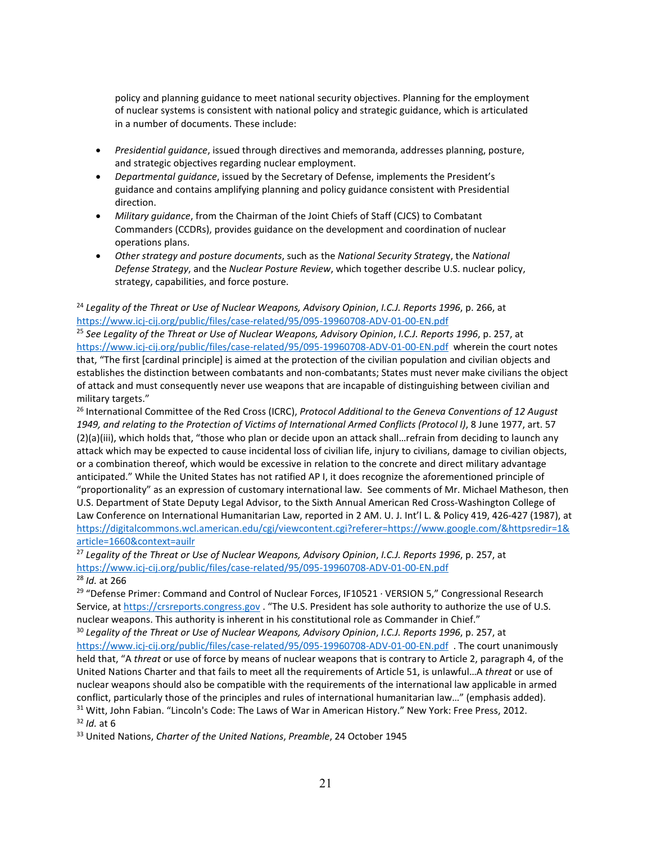policy and planning guidance to meet national security objectives. Planning for the employment of nuclear systems is consistent with national policy and strategic guidance, which is articulated in a number of documents. These include:

- *Presidential guidance*, issued through directives and memoranda, addresses planning, posture, and strategic objectives regarding nuclear employment.
- *Departmental guidance*, issued by the Secretary of Defense, implements the President's guidance and contains amplifying planning and policy guidance consistent with Presidential direction.
- *Military guidance*, from the Chairman of the Joint Chiefs of Staff (CJCS) to Combatant Commanders (CCDRs), provides guidance on the development and coordination of nuclear operations plans.
- *Other strategy and posture documents*, such as the *National Security Strateg*y, the *National Defense Strategy*, and the *Nuclear Posture Review*, which together describe U.S. nuclear policy, strategy, capabilities, and force posture.

<span id="page-21-0"></span><sup>24</sup> *Legality of the Threat or Use of Nuclear Weapons, Advisory Opinion, I.C.J. Reports 1996, p. 266, at* https://www.icj-cij.org/public/files/case-related/95/095-19960708-ADV-01-00-EN.pdf

<span id="page-21-1"></span><sup>25</sup> See Legality of the Threat or Use of Nuclear Weapons, Advisory Opinion, *I.C.J. Reports 1996*, p. 257, at <https://www.icj-cij.org/public/files/case-related/95/095-19960708-ADV-01-00-EN.pdf>wherein the court notes that, "The first [cardinal principle] is aimed at the protection of the civilian population and civilian objects and establishes the distinction between combatants and non-combatants; States must never make civilians the object of attack and must consequently never use weapons that are incapable of distinguishing between civilian and military targets."

<span id="page-21-2"></span><sup>26</sup> International Committee of the Red Cross (ICRC), *Protocol Additional to the Geneva Conventions of 12 August 1949, and relating to the Protection of Victims of International Armed Conflicts (Protocol I)*, 8 June 1977, art. 57 (2)(a)(iii), which holds that, "those who plan or decide upon an attack shall…refrain from deciding to launch any attack which may be expected to cause incidental loss of civilian life, injury to civilians, damage to civilian objects, or a combination thereof, which would be excessive in relation to the concrete and direct military advantage anticipated." While the United States has not ratified AP I, it does recognize the aforementioned principle of "proportionality" as an expression of customary international law. See comments of Mr. Michael Matheson, then U.S. Department of State Deputy Legal Advisor, to the Sixth Annual American Red Cross-Washington College of Law Conference on International Humanitarian Law, reported in 2 AM. U. J. Int'l L. & Policy 419, 426-427 (1987), at [https://digitalcommons.wcl.american.edu/cgi/viewcontent.cgi?referer=https://www.google.com/&httpsredir=1&](https://digitalcommons.wcl.american.edu/cgi/viewcontent.cgi?referer=https://www.google.com/&httpsredir=1&article=1660&context=auilr) [article=1660&context=auilr](https://digitalcommons.wcl.american.edu/cgi/viewcontent.cgi?referer=https://www.google.com/&httpsredir=1&article=1660&context=auilr)

<span id="page-21-3"></span><sup>27</sup> *Legality of the Threat or Use of Nuclear Weapons, Advisory Opinion*, *I.C.J. Reports 1996*, p. 257, at <https://www.icj-cij.org/public/files/case-related/95/095-19960708-ADV-01-00-EN.pdf>

<span id="page-21-4"></span><sup>28</sup> *Id.* at 266

<span id="page-21-5"></span><sup>29</sup> "Defense Primer: Command and Control of Nuclear Forces, IF10521 · VERSION 5," Congressional Research Service, at [https://crsreports.congress.gov](https://crsreports.congress.gov/) . "The U.S. President has sole authority to authorize the use of U.S. nuclear weapons. This authority is inherent in his constitutional role as Commander in Chief."

<span id="page-21-6"></span><sup>30</sup> *Legality of the Threat or Use of Nuclear Weapons, Advisory Opinion*, *I.C.J. Reports 1996*, p. 257, at <https://www.icj-cij.org/public/files/case-related/95/095-19960708-ADV-01-00-EN.pdf>. The court unanimously held that, "A *threat* or use of force by means of nuclear weapons that is contrary to Article 2, paragraph 4, of the United Nations Charter and that fails to meet all the requirements of Article 51, is unlawful…A *threat* or use of nuclear weapons should also be compatible with the requirements of the international law applicable in armed conflict, particularly those of the principles and rules of international humanitarian law…" (emphasis added). <sup>31</sup> Witt, John Fabian. "Lincoln's Code: The Laws of War in American History." New York: Free Press, 2012. <sup>32</sup> *Id.* at 6

<span id="page-21-9"></span><span id="page-21-8"></span><span id="page-21-7"></span><sup>33</sup> United Nations, *Charter of the United Nations*, *Preamble*, 24 October 1945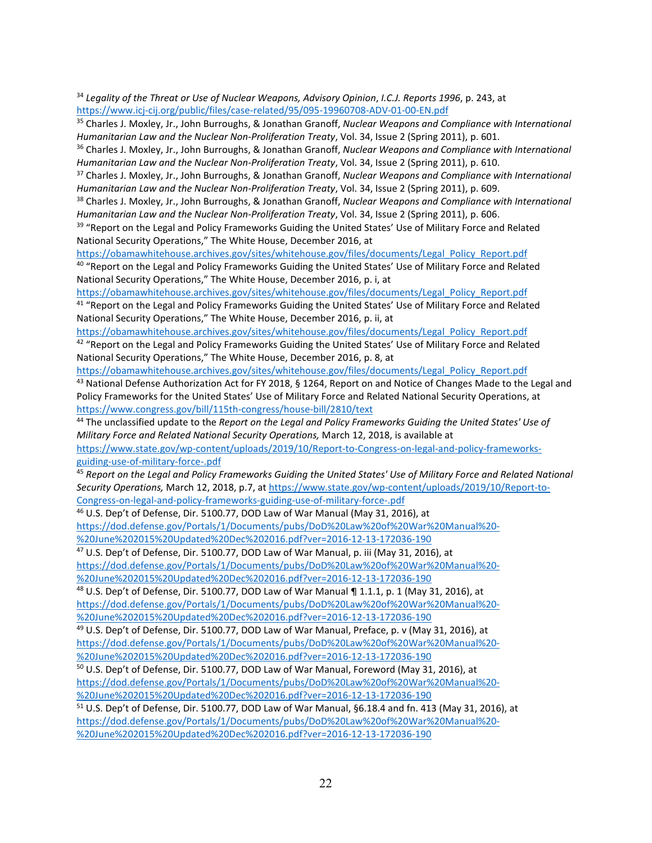<span id="page-22-0"></span><sup>34</sup> *Legality of the Threat or Use of Nuclear Weapons, Advisory Opinion*, *I.C.J. Reports 1996*, p. 243, at <https://www.icj-cij.org/public/files/case-related/95/095-19960708-ADV-01-00-EN.pdf>

<span id="page-22-1"></span><sup>35</sup> Charles J. Moxley, Jr., John Burroughs, & Jonathan Granoff, *Nuclear Weapons and Compliance with International*  Humanitarian Law and the Nuclear Non-Proliferation Treaty, Vol. 34, Issue 2 (Spring 2011), p. 601.<br><sup>36</sup> Charles J. Moxley, Jr., John Burroughs, & Jonathan Granoff, Nuclear Weapons and Compliance with International

<span id="page-22-2"></span>Humanitarian Law and the Nuclear Non-Proliferation Treaty, Vol. 34, Issue 2 (Spring 2011), p. 610.<br><sup>37</sup> Charles J. Moxley, Jr., John Burroughs, & Jonathan Granoff, Nuclear Weapons and Compliance with International

<span id="page-22-3"></span>*Humanitarian Law and the Nuclear Non-Proliferation Treaty*, Vol. 34, Issue 2 (Spring 2011), p. 609.

<span id="page-22-4"></span><sup>38</sup> Charles J. Moxley, Jr., John Burroughs, & Jonathan Granoff, *Nuclear Weapons and Compliance with International Humanitarian Law and the Nuclear Non-Proliferation Treaty*, Vol. 34, Issue 2 (Spring 2011), p. 606.

<span id="page-22-5"></span><sup>39</sup> "Report on the Legal and Policy Frameworks Guiding the United States' Use of Military Force and Related National Security Operations," The White House, December 2016, at

[https://obamawhitehouse.archives.gov/sites/whitehouse.gov/files/documents/Legal\\_Policy\\_Report.pdf](https://obamawhitehouse.archives.gov/sites/whitehouse.gov/files/documents/Legal_Policy_Report.pdf)

<span id="page-22-6"></span><sup>40</sup> "Report on the Legal and Policy Frameworks Guiding the United States' Use of Military Force and Related National Security Operations," The White House, December 2016, p. i, at

<span id="page-22-7"></span>[https://obamawhitehouse.archives.gov/sites/whitehouse.gov/files/documents/Legal\\_Policy\\_Report.pdf](https://obamawhitehouse.archives.gov/sites/whitehouse.gov/files/documents/Legal_Policy_Report.pdf) <sup>41</sup> "Report on the Legal and Policy Frameworks Guiding the United States' Use of Military Force and Related National Security Operations," The White House, December 2016, p. ii, at

<span id="page-22-8"></span>[https://obamawhitehouse.archives.gov/sites/whitehouse.gov/files/documents/Legal\\_Policy\\_Report.pdf](https://obamawhitehouse.archives.gov/sites/whitehouse.gov/files/documents/Legal_Policy_Report.pdf)  $42$  "Report on the Legal and Policy Frameworks Guiding the United States' Use of Military Force and Related National Security Operations," The White House, December 2016, p. 8, at

[https://obamawhitehouse.archives.gov/sites/whitehouse.gov/files/documents/Legal\\_Policy\\_Report.pdf](https://obamawhitehouse.archives.gov/sites/whitehouse.gov/files/documents/Legal_Policy_Report.pdf)

<span id="page-22-9"></span>43 National Defense Authorization Act for FY 2018, § 1264, Report on and Notice of Changes Made to the Legal and Policy Frameworks for the United States' Use of Military Force and Related National Security Operations, at <https://www.congress.gov/bill/115th-congress/house-bill/2810/text>

<span id="page-22-10"></span><sup>44</sup> The unclassified update to the *Report on the Legal and Policy Frameworks Guiding the United States' Use of Military Force and Related National Security Operations,* March 12, 2018, is available at

[https://www.state.gov/wp-content/uploads/2019/10/Report-to-Congress-on-legal-and-policy-frameworks](https://www.state.gov/wp-content/uploads/2019/10/Report-to-Congress-on-legal-and-policy-frameworks-guiding-use-of-military-force-.pdf)guiding-use-of-military-force-.pdf<br><sup>45</sup> Report on the Legal and Policy Frameworks Guiding the United States' Use of Military Force and Related National

<span id="page-22-11"></span>*Security Operations,* March 12, 2018, p.7, a[t https://www.state.gov/wp-content/uploads/2019/10/Report-to-](https://www.state.gov/wp-content/uploads/2019/10/Report-to-Congress-on-legal-and-policy-frameworks-guiding-use-of-military-force-.pdf)[Congress-on-legal-and-policy-frameworks-guiding-use-of-military-force-.pdf](https://www.state.gov/wp-content/uploads/2019/10/Report-to-Congress-on-legal-and-policy-frameworks-guiding-use-of-military-force-.pdf) 46 U.S. Dep't of Defense, Dir. 5100.77, DOD Law of War Manual (May 31, 2016), at

<span id="page-22-12"></span>[https://dod.defense.gov/Portals/1/Documents/pubs/DoD%20Law%20of%20War%20Manual%20-](https://dod.defense.gov/Portals/1/Documents/pubs/DoD%20Law%20of%20War%20Manual%20-%20June%202015%20Updated%20Dec%202016.pdf?ver=2016-12-13-172036-190) [%20June%202015%20Updated%20Dec%202016.pdf?ver=2016-12-13-172036-190](https://dod.defense.gov/Portals/1/Documents/pubs/DoD%20Law%20of%20War%20Manual%20-%20June%202015%20Updated%20Dec%202016.pdf?ver=2016-12-13-172036-190)

<span id="page-22-13"></span><sup>47</sup> U.S. Dep't of Defense, Dir. 5100.77, DOD Law of War Manual, p. iii (May 31, 2016), at [https://dod.defense.gov/Portals/1/Documents/pubs/DoD%20Law%20of%20War%20Manual%20-](https://dod.defense.gov/Portals/1/Documents/pubs/DoD%20Law%20of%20War%20Manual%20-%20June%202015%20Updated%20Dec%202016.pdf?ver=2016-12-13-172036-190) [%20June%202015%20Updated%20Dec%202016.pdf?ver=2016-12-13-172036-190](https://dod.defense.gov/Portals/1/Documents/pubs/DoD%20Law%20of%20War%20Manual%20-%20June%202015%20Updated%20Dec%202016.pdf?ver=2016-12-13-172036-190)

<span id="page-22-14"></span> $48$  U.S. Dep't of Defense, Dir. 5100.77, DOD Law of War Manual ¶ 1.1.1, p. 1 (May 31, 2016), at [https://dod.defense.gov/Portals/1/Documents/pubs/DoD%20Law%20of%20War%20Manual%20-](https://dod.defense.gov/Portals/1/Documents/pubs/DoD%20Law%20of%20War%20Manual%20-%20June%202015%20Updated%20Dec%202016.pdf?ver=2016-12-13-172036-190) [%20June%202015%20Updated%20Dec%202016.pdf?ver=2016-12-13-172036-190](https://dod.defense.gov/Portals/1/Documents/pubs/DoD%20Law%20of%20War%20Manual%20-%20June%202015%20Updated%20Dec%202016.pdf?ver=2016-12-13-172036-190)

<span id="page-22-15"></span><sup>49</sup> U.S. Dep't of Defense, Dir. 5100.77, DOD Law of War Manual, Preface, p. v (May 31, 2016), at [https://dod.defense.gov/Portals/1/Documents/pubs/DoD%20Law%20of%20War%20Manual%20-](https://dod.defense.gov/Portals/1/Documents/pubs/DoD%20Law%20of%20War%20Manual%20-%20June%202015%20Updated%20Dec%202016.pdf?ver=2016-12-13-172036-190) [%20June%202015%20Updated%20Dec%202016.pdf?ver=2016-12-13-172036-190](https://dod.defense.gov/Portals/1/Documents/pubs/DoD%20Law%20of%20War%20Manual%20-%20June%202015%20Updated%20Dec%202016.pdf?ver=2016-12-13-172036-190)

<span id="page-22-16"></span><sup>50</sup> U.S. Dep't of Defense, Dir. 5100.77, DOD Law of War Manual, Foreword (May 31, 2016), at [https://dod.defense.gov/Portals/1/Documents/pubs/DoD%20Law%20of%20War%20Manual%20-](https://dod.defense.gov/Portals/1/Documents/pubs/DoD%20Law%20of%20War%20Manual%20-%20June%202015%20Updated%20Dec%202016.pdf?ver=2016-12-13-172036-190) [%20June%202015%20Updated%20Dec%202016.pdf?ver=2016-12-13-172036-190](https://dod.defense.gov/Portals/1/Documents/pubs/DoD%20Law%20of%20War%20Manual%20-%20June%202015%20Updated%20Dec%202016.pdf?ver=2016-12-13-172036-190)

<span id="page-22-17"></span><sup>51</sup> U.S. Dep't of Defense, Dir. 5100.77, DOD Law of War Manual, §6.18.4 and fn. 413 (May 31, 2016), at [https://dod.defense.gov/Portals/1/Documents/pubs/DoD%20Law%20of%20War%20Manual%20-](https://dod.defense.gov/Portals/1/Documents/pubs/DoD%20Law%20of%20War%20Manual%20-%20June%202015%20Updated%20Dec%202016.pdf?ver=2016-12-13-172036-190) [%20June%202015%20Updated%20Dec%202016.pdf?ver=2016-12-13-172036-190](https://dod.defense.gov/Portals/1/Documents/pubs/DoD%20Law%20of%20War%20Manual%20-%20June%202015%20Updated%20Dec%202016.pdf?ver=2016-12-13-172036-190)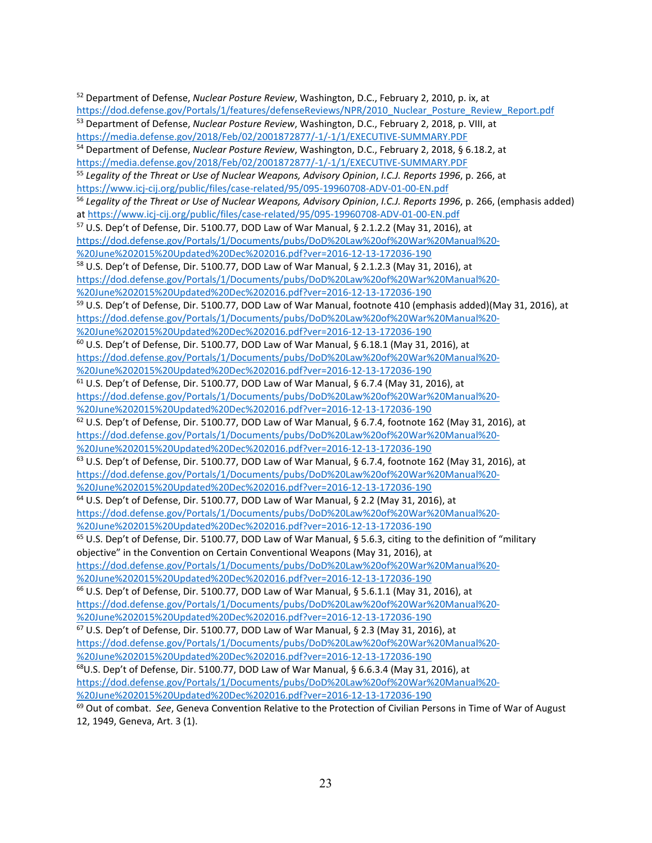<span id="page-23-9"></span><span id="page-23-8"></span><span id="page-23-7"></span><span id="page-23-6"></span><span id="page-23-5"></span><span id="page-23-4"></span><span id="page-23-3"></span><span id="page-23-2"></span><span id="page-23-1"></span><span id="page-23-0"></span><sup>52</sup> Department of Defense, *Nuclear Posture Review*, Washington, D.C., February 2, 2010, p. ix, at [https://dod.defense.gov/Portals/1/features/defenseReviews/NPR/2010\\_Nuclear\\_Posture\\_Review\\_Report.pdf](https://dod.defense.gov/Portals/1/features/defenseReviews/NPR/2010_Nuclear_Posture_Review_Report.pdf) <sup>53</sup> Department of Defense, *Nuclear Posture Review*, Washington, D.C., February 2, 2018, p. VIII, at <https://media.defense.gov/2018/Feb/02/2001872877/-1/-1/1/EXECUTIVE-SUMMARY.PDF> <sup>54</sup> Department of Defense, *Nuclear Posture Review*, Washington, D.C., February 2, 2018, § 6.18.2, at <https://media.defense.gov/2018/Feb/02/2001872877/-1/-1/1/EXECUTIVE-SUMMARY.PDF> <sup>55</sup> *Legality of the Threat or Use of Nuclear Weapons, Advisory Opinion*, *I.C.J. Reports 1996*, p. 266, at https://www.icj-cij.org/public/files/case-related/95/095-19960708-ADV-01-00-EN.pdf<br><sup>56</sup> Legality of the Threat or Use of Nuclear Weapons, Advisory Opinion, *I.C.J. Reports 1996*, p. 266, (emphasis added) at https://www.icj-cij.org/public/files/case-related/95/095-19960708-ADV-01-00-EN.pdf<br><sup>57</sup> U.S. Dep't of Defense, Dir. 5100.77, DOD Law of War Manual, § 2.1.2.2 (May 31, 2016), at [https://dod.defense.gov/Portals/1/Documents/pubs/DoD%20Law%20of%20War%20Manual%20-](https://dod.defense.gov/Portals/1/Documents/pubs/DoD%20Law%20of%20War%20Manual%20-%20June%202015%20Updated%20Dec%202016.pdf?ver=2016-12-13-172036-190) [%20June%202015%20Updated%20Dec%202016.pdf?ver=2016-12-13-172036-190](https://dod.defense.gov/Portals/1/Documents/pubs/DoD%20Law%20of%20War%20Manual%20-%20June%202015%20Updated%20Dec%202016.pdf?ver=2016-12-13-172036-190) <sup>58</sup> U.S. Dep't of Defense, Dir. 5100.77, DOD Law of War Manual, § 2.1.2.3 (May 31, 2016), at [https://dod.defense.gov/Portals/1/Documents/pubs/DoD%20Law%20of%20War%20Manual%20-](https://dod.defense.gov/Portals/1/Documents/pubs/DoD%20Law%20of%20War%20Manual%20-%20June%202015%20Updated%20Dec%202016.pdf?ver=2016-12-13-172036-190) [%20June%202015%20Updated%20Dec%202016.pdf?ver=2016-12-13-172036-190](https://dod.defense.gov/Portals/1/Documents/pubs/DoD%20Law%20of%20War%20Manual%20-%20June%202015%20Updated%20Dec%202016.pdf?ver=2016-12-13-172036-190) 59 U.S. Dep't of Defense, Dir. 5100.77, DOD Law of War Manual, footnote 410 (emphasis added)(May 31, 2016), at [https://dod.defense.gov/Portals/1/Documents/pubs/DoD%20Law%20of%20War%20Manual%20-](https://dod.defense.gov/Portals/1/Documents/pubs/DoD%20Law%20of%20War%20Manual%20-%20June%202015%20Updated%20Dec%202016.pdf?ver=2016-12-13-172036-190) [%20June%202015%20Updated%20Dec%202016.pdf?ver=2016-12-13-172036-190](https://dod.defense.gov/Portals/1/Documents/pubs/DoD%20Law%20of%20War%20Manual%20-%20June%202015%20Updated%20Dec%202016.pdf?ver=2016-12-13-172036-190)  $60$  U.S. Dep't of Defense, Dir. 5100.77, DOD Law of War Manual, § 6.18.1 (May 31, 2016), at [https://dod.defense.gov/Portals/1/Documents/pubs/DoD%20Law%20of%20War%20Manual%20-](https://dod.defense.gov/Portals/1/Documents/pubs/DoD%20Law%20of%20War%20Manual%20-%20June%202015%20Updated%20Dec%202016.pdf?ver=2016-12-13-172036-190) [%20June%202015%20Updated%20Dec%202016.pdf?ver=2016-12-13-172036-190](https://dod.defense.gov/Portals/1/Documents/pubs/DoD%20Law%20of%20War%20Manual%20-%20June%202015%20Updated%20Dec%202016.pdf?ver=2016-12-13-172036-190)  $61$  U.S. Dep't of Defense, Dir. 5100.77, DOD Law of War Manual, § 6.7.4 (May 31, 2016), at [https://dod.defense.gov/Portals/1/Documents/pubs/DoD%20Law%20of%20War%20Manual%20-](https://dod.defense.gov/Portals/1/Documents/pubs/DoD%20Law%20of%20War%20Manual%20-%20June%202015%20Updated%20Dec%202016.pdf?ver=2016-12-13-172036-190) [%20June%202015%20Updated%20Dec%202016.pdf?ver=2016-12-13-172036-190](https://dod.defense.gov/Portals/1/Documents/pubs/DoD%20Law%20of%20War%20Manual%20-%20June%202015%20Updated%20Dec%202016.pdf?ver=2016-12-13-172036-190) <sup>62</sup> U.S. Dep't of Defense, Dir. 5100.77, DOD Law of War Manual, § 6.7.4, footnote 162 (May 31, 2016), at [https://dod.defense.gov/Portals/1/Documents/pubs/DoD%20Law%20of%20War%20Manual%20-](https://dod.defense.gov/Portals/1/Documents/pubs/DoD%20Law%20of%20War%20Manual%20-%20June%202015%20Updated%20Dec%202016.pdf?ver=2016-12-13-172036-190) [%20June%202015%20Updated%20Dec%202016.pdf?ver=2016-12-13-172036-190](https://dod.defense.gov/Portals/1/Documents/pubs/DoD%20Law%20of%20War%20Manual%20-%20June%202015%20Updated%20Dec%202016.pdf?ver=2016-12-13-172036-190)  $63$  U.S. Dep't of Defense, Dir. 5100.77, DOD Law of War Manual, § 6.7.4, footnote 162 (May 31, 2016), at [https://dod.defense.gov/Portals/1/Documents/pubs/DoD%20Law%20of%20War%20Manual%20-](https://dod.defense.gov/Portals/1/Documents/pubs/DoD%20Law%20of%20War%20Manual%20-%20June%202015%20Updated%20Dec%202016.pdf?ver=2016-12-13-172036-190) [%20June%202015%20Updated%20Dec%202016.pdf?ver=2016-12-13-172036-190](https://dod.defense.gov/Portals/1/Documents/pubs/DoD%20Law%20of%20War%20Manual%20-%20June%202015%20Updated%20Dec%202016.pdf?ver=2016-12-13-172036-190) <sup>64</sup> U.S. Dep't of Defense, Dir. 5100.77, DOD Law of War Manual, § 2.2 (May 31, 2016), at [https://dod.defense.gov/Portals/1/Documents/pubs/DoD%20Law%20of%20War%20Manual%20-](https://dod.defense.gov/Portals/1/Documents/pubs/DoD%20Law%20of%20War%20Manual%20-%20June%202015%20Updated%20Dec%202016.pdf?ver=2016-12-13-172036-190) [%20June%202015%20Updated%20Dec%202016.pdf?ver=2016-12-13-172036-190](https://dod.defense.gov/Portals/1/Documents/pubs/DoD%20Law%20of%20War%20Manual%20-%20June%202015%20Updated%20Dec%202016.pdf?ver=2016-12-13-172036-190) <sup>65</sup> U.S. Dep't of Defense, Dir. 5100.77, DOD Law of War Manual, § 5.6.3, citing to the definition of "military objective" in the Convention on Certain Conventional Weapons (May 31, 2016), at [https://dod.defense.gov/Portals/1/Documents/pubs/DoD%20Law%20of%20War%20Manual%20-](https://dod.defense.gov/Portals/1/Documents/pubs/DoD%20Law%20of%20War%20Manual%20-%20June%202015%20Updated%20Dec%202016.pdf?ver=2016-12-13-172036-190) [%20June%202015%20Updated%20Dec%202016.pdf?ver=2016-12-13-172036-190](https://dod.defense.gov/Portals/1/Documents/pubs/DoD%20Law%20of%20War%20Manual%20-%20June%202015%20Updated%20Dec%202016.pdf?ver=2016-12-13-172036-190) <sup>66</sup> U.S. Dep't of Defense, Dir. 5100.77, DOD Law of War Manual, § 5.6.1.1 (May 31, 2016), at [https://dod.defense.gov/Portals/1/Documents/pubs/DoD%20Law%20of%20War%20Manual%20-](https://dod.defense.gov/Portals/1/Documents/pubs/DoD%20Law%20of%20War%20Manual%20-%20June%202015%20Updated%20Dec%202016.pdf?ver=2016-12-13-172036-190) [%20June%202015%20Updated%20Dec%202016.pdf?ver=2016-12-13-172036-190](https://dod.defense.gov/Portals/1/Documents/pubs/DoD%20Law%20of%20War%20Manual%20-%20June%202015%20Updated%20Dec%202016.pdf?ver=2016-12-13-172036-190)  $67$  U.S. Dep't of Defense, Dir. 5100.77, DOD Law of War Manual, § 2.3 (May 31, 2016), at [https://dod.defense.gov/Portals/1/Documents/pubs/DoD%20Law%20of%20War%20Manual%20-](https://dod.defense.gov/Portals/1/Documents/pubs/DoD%20Law%20of%20War%20Manual%20-%20June%202015%20Updated%20Dec%202016.pdf?ver=2016-12-13-172036-190) [%20June%202015%20Updated%20Dec%202016.pdf?ver=2016-12-13-172036-190](https://dod.defense.gov/Portals/1/Documents/pubs/DoD%20Law%20of%20War%20Manual%20-%20June%202015%20Updated%20Dec%202016.pdf?ver=2016-12-13-172036-190) 68U.S. Dep't of Defense, Dir. 5100.77, DOD Law of War Manual, § 6.6.3.4 (May 31, 2016), at [https://dod.defense.gov/Portals/1/Documents/pubs/DoD%20Law%20of%20War%20Manual%20-](https://dod.defense.gov/Portals/1/Documents/pubs/DoD%20Law%20of%20War%20Manual%20-%20June%202015%20Updated%20Dec%202016.pdf?ver=2016-12-13-172036-190) [%20June%202015%20Updated%20Dec%202016.pdf?ver=2016-12-13-172036-190](https://dod.defense.gov/Portals/1/Documents/pubs/DoD%20Law%20of%20War%20Manual%20-%20June%202015%20Updated%20Dec%202016.pdf?ver=2016-12-13-172036-190) <sup>69</sup> Out of combat. *See*, Geneva Convention Relative to the Protection of Civilian Persons in Time of War of August

<span id="page-23-17"></span><span id="page-23-16"></span><span id="page-23-15"></span><span id="page-23-14"></span><span id="page-23-13"></span><span id="page-23-12"></span><span id="page-23-11"></span><span id="page-23-10"></span>12, 1949, Geneva, Art. 3 (1).